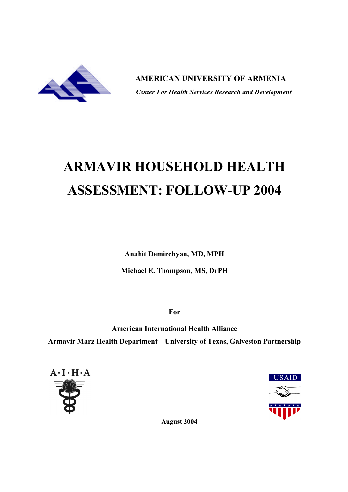

 **AMERICAN UNIVERSITY OF ARMENIA**  *Center For Health Services Research and Development*

# **ARMAVIR HOUSEHOLD HEALTH ASSESSMENT: FOLLOW-UP 2004**

**Anahit Demirchyan, MD, MPH**

**Michael E. Thompson, MS, DrPH**

**For**

**American International Health Alliance Armavir Marz Health Department – University of Texas, Galveston Partnership**





**August 2004**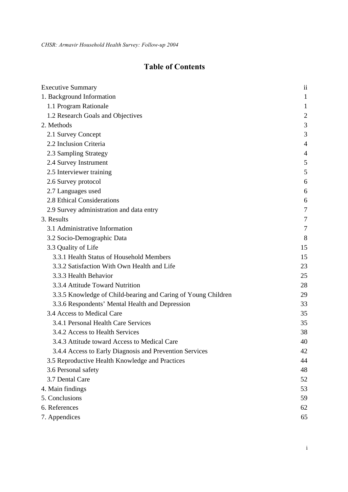# **Table of Contents**

| <b>Executive Summary</b>                                      | ii             |
|---------------------------------------------------------------|----------------|
| 1. Background Information                                     | $\mathbf{1}$   |
| 1.1 Program Rationale                                         | $\mathbf{1}$   |
| 1.2 Research Goals and Objectives                             | $\overline{c}$ |
| 2. Methods                                                    | 3              |
| 2.1 Survey Concept                                            | 3              |
| 2.2 Inclusion Criteria                                        | $\overline{4}$ |
| 2.3 Sampling Strategy                                         | 4              |
| 2.4 Survey Instrument                                         | 5              |
| 2.5 Interviewer training                                      | 5              |
| 2.6 Survey protocol                                           | 6              |
| 2.7 Languages used                                            | 6              |
| 2.8 Ethical Considerations                                    | 6              |
| 2.9 Survey administration and data entry                      | 7              |
| 3. Results                                                    | 7              |
| 3.1 Administrative Information                                | $\overline{7}$ |
| 3.2 Socio-Demographic Data                                    | 8              |
| 3.3 Quality of Life                                           | 15             |
| 3.3.1 Health Status of Household Members                      | 15             |
| 3.3.2 Satisfaction With Own Health and Life                   | 23             |
| 3.3.3 Health Behavior                                         | 25             |
| 3.3.4 Attitude Toward Nutrition                               | 28             |
| 3.3.5 Knowledge of Child-bearing and Caring of Young Children | 29             |
| 3.3.6 Respondents' Mental Health and Depression               | 33             |
| 3.4 Access to Medical Care                                    | 35             |
| 3.4.1 Personal Health Care Services                           | 35             |
| 3.4.2 Access to Health Services                               | 38             |
| 3.4.3 Attitude toward Access to Medical Care                  | 40             |
| 3.4.4 Access to Early Diagnosis and Prevention Services       | 42             |
| 3.5 Reproductive Health Knowledge and Practices               | 44             |
| 3.6 Personal safety                                           | 48             |
| 3.7 Dental Care                                               | 52             |
| 4. Main findings                                              | 53             |
| 5. Conclusions                                                | 59             |
| 6. References                                                 | 62             |
| 7. Appendices                                                 | 65             |

i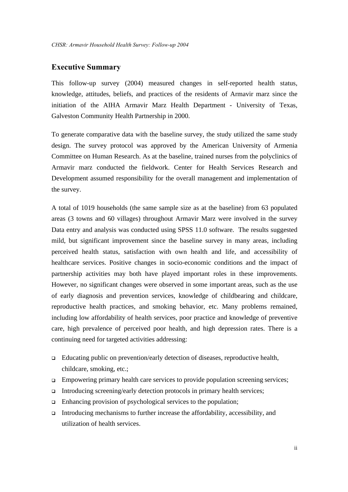# **Executive Summary**

This follow-up survey (2004) measured changes in self-reported health status, knowledge, attitudes, beliefs, and practices of the residents of Armavir marz since the initiation of the AIHA Armavir Marz Health Department - University of Texas, Galveston Community Health Partnership in 2000.

To generate comparative data with the baseline survey, the study utilized the same study design. The survey protocol was approved by the American University of Armenia Committee on Human Research. As at the baseline, trained nurses from the polyclinics of Armavir marz conducted the fieldwork. Center for Health Services Research and Development assumed responsibility for the overall management and implementation of the survey.

A total of 1019 households (the same sample size as at the baseline) from 63 populated areas (3 towns and 60 villages) throughout Armavir Marz were involved in the survey Data entry and analysis was conducted using SPSS 11.0 software. The results suggested mild, but significant improvement since the baseline survey in many areas, including perceived health status, satisfaction with own health and life, and accessibility of healthcare services. Positive changes in socio-economic conditions and the impact of partnership activities may both have played important roles in these improvements. However, no significant changes were observed in some important areas, such as the use of early diagnosis and prevention services, knowledge of childbearing and childcare, reproductive health practices, and smoking behavior, etc. Many problems remained, including low affordability of health services, poor practice and knowledge of preventive care, high prevalence of perceived poor health, and high depression rates. There is a continuing need for targeted activities addressing:

- <sup>q</sup> Educating public on prevention/early detection of diseases, reproductive health, childcare, smoking, etc.;
- $\Box$  Empowering primary health care services to provide population screening services;
- $\Box$  Introducing screening/early detection protocols in primary health services;
- $\Box$  Enhancing provision of psychological services to the population;
- Introducing mechanisms to further increase the affordability, accessibility, and utilization of health services.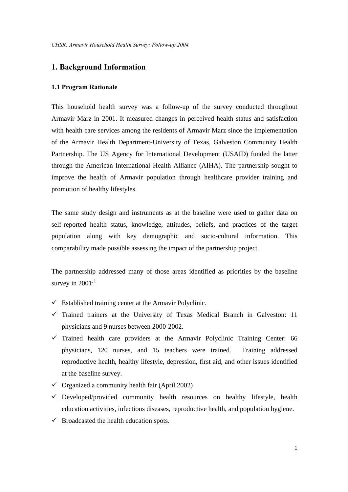# **1. Background Information**

#### **1.1 Program Rationale**

This household health survey was a follow-up of the survey conducted throughout Armavir Marz in 2001. It measured changes in perceived health status and satisfaction with health care services among the residents of Armavir Marz since the implementation of the Armavir Health Department-University of Texas, Galveston Community Health Partnership. The US Agency for International Development (USAID) funded the latter through the American International Health Alliance (AIHA). The partnership sought to improve the health of Armavir population through healthcare provider training and promotion of healthy lifestyles.

The same study design and instruments as at the baseline were used to gather data on self-reported health status, knowledge, attitudes, beliefs, and practices of the target population along with key demographic and socio-cultural information. This comparability made possible assessing the impact of the partnership project.

The partnership addressed many of those areas identified as priorities by the baseline survey in  $2001$ :<sup>1</sup>

- $\checkmark$  Established training center at the Armavir Polyclinic.
- $\checkmark$  Trained trainers at the University of Texas Medical Branch in Galveston: 11 physicians and 9 nurses between 2000-2002.
- $\checkmark$  Trained health care providers at the Armavir Polyclinic Training Center: 66 physicians, 120 nurses, and 15 teachers were trained. Training addressed reproductive health, healthy lifestyle, depression, first aid, and other issues identified at the baseline survey.
- $\checkmark$  Organized a community health fair (April 2002)
- $\checkmark$  Developed/provided community health resources on healthy lifestyle, health education activities, infectious diseases, reproductive health, and population hygiene.
- $\checkmark$  Broadcasted the health education spots.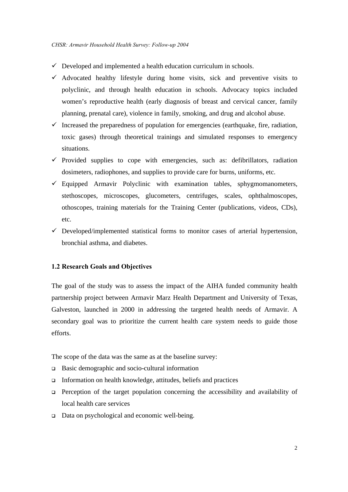- $\checkmark$  Developed and implemented a health education curriculum in schools.
- $\checkmark$  Advocated healthy lifestyle during home visits, sick and preventive visits to polyclinic, and through health education in schools. Advocacy topics included women's reproductive health (early diagnosis of breast and cervical cancer, family planning, prenatal care), violence in family, smoking, and drug and alcohol abuse.
- $\checkmark$  Increased the preparedness of population for emergencies (earthquake, fire, radiation, toxic gases) through theoretical trainings and simulated responses to emergency situations.
- $\checkmark$  Provided supplies to cope with emergencies, such as: defibrillators, radiation dosimeters, radiophones, and supplies to provide care for burns, uniforms, etc.
- $\checkmark$  Equipped Armavir Polyclinic with examination tables, sphygmomanometers, stethoscopes, microscopes, glucometers, centrifuges, scales, ophthalmoscopes, othoscopes, training materials for the Training Center (publications, videos, CDs), etc.
- $\checkmark$  Developed/implemented statistical forms to monitor cases of arterial hypertension, bronchial asthma, and diabetes.

## **1.2 Research Goals and Objectives**

The goal of the study was to assess the impact of the AIHA funded community health partnership project between Armavir Marz Health Department and University of Texas, Galveston, launched in 2000 in addressing the targeted health needs of Armavir. A secondary goal was to prioritize the current health care system needs to guide those efforts.

The scope of the data was the same as at the baseline survey:

- $\Box$  Basic demographic and socio-cultural information
- $\Box$  Information on health knowledge, attitudes, beliefs and practices
- $\Box$  Perception of the target population concerning the accessibility and availability of local health care services
- □ Data on psychological and economic well-being.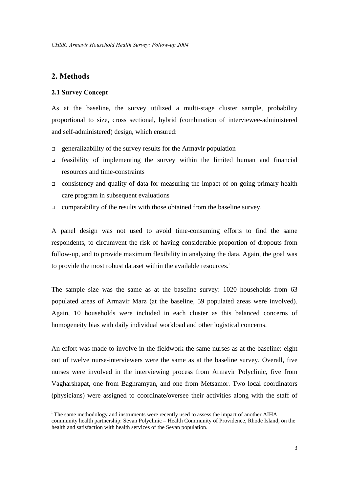# **2. Methods**

1

#### **2.1 Survey Concept**

As at the baseline, the survey utilized a multi-stage cluster sample, probability proportional to size, cross sectional, hybrid (combination of interviewee-administered and self-administered) design, which ensured:

- $\Box$  generalizability of the survey results for the Armavir population
- $\Box$  feasibility of implementing the survey within the limited human and financial resources and time-constraints
- $\Box$  consistency and quality of data for measuring the impact of on-going primary health care program in subsequent evaluations
- $\Box$  comparability of the results with those obtained from the baseline survey.

A panel design was not used to avoid time-consuming efforts to find the same respondents, to circumvent the risk of having considerable proportion of dropouts from follow-up, and to provide maximum flexibility in analyzing the data. Again, the goal was to provide the most robust dataset within the available resources.<sup> $\dot{i}$ </sup>

The sample size was the same as at the baseline survey: 1020 households from 63 populated areas of Armavir Marz (at the baseline, 59 populated areas were involved). Again, 10 households were included in each cluster as this balanced concerns of homogeneity bias with daily individual workload and other logistical concerns.

An effort was made to involve in the fieldwork the same nurses as at the baseline: eight out of twelve nurse-interviewers were the same as at the baseline survey. Overall, five nurses were involved in the interviewing process from Armavir Polyclinic, five from Vagharshapat, one from Baghramyan, and one from Metsamor. Two local coordinators (physicians) were assigned to coordinate/oversee their activities along with the staff of

<sup>&</sup>lt;sup>i</sup> The same methodology and instruments were recently used to assess the impact of another AIHA community health partnership: Sevan Polyclinic – Health Community of Providence, Rhode Island, on the health and satisfaction with health services of the Sevan population.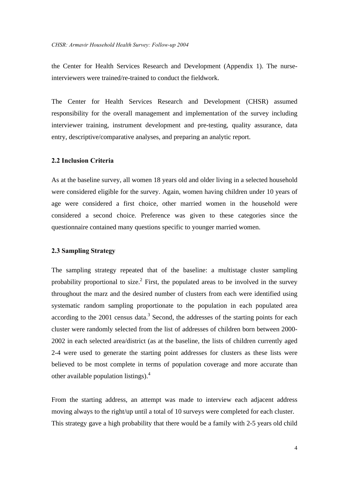the Center for Health Services Research and Development (Appendix 1). The nurseinterviewers were trained/re-trained to conduct the fieldwork.

The Center for Health Services Research and Development (CHSR) assumed responsibility for the overall management and implementation of the survey including interviewer training, instrument development and pre-testing, quality assurance, data entry, descriptive/comparative analyses, and preparing an analytic report.

#### **2.2 Inclusion Criteria**

As at the baseline survey, all women 18 years old and older living in a selected household were considered eligible for the survey. Again, women having children under 10 years of age were considered a first choice, other married women in the household were considered a second choice. Preference was given to these categories since the questionnaire contained many questions specific to younger married women.

#### **2.3 Sampling Strategy**

The sampling strategy repeated that of the baseline: a multistage cluster sampling probability proportional to size.<sup>2</sup> First, the populated areas to be involved in the survey throughout the marz and the desired number of clusters from each were identified using systematic random sampling proportionate to the population in each populated area according to the  $2001$  census data.<sup>3</sup> Second, the addresses of the starting points for each cluster were randomly selected from the list of addresses of children born between 2000- 2002 in each selected area/district (as at the baseline, the lists of children currently aged 2-4 were used to generate the starting point addresses for clusters as these lists were believed to be most complete in terms of population coverage and more accurate than other available population listings).<sup>4</sup>

From the starting address, an attempt was made to interview each adjacent address moving always to the right/up until a total of 10 surveys were completed for each cluster. This strategy gave a high probability that there would be a family with 2-5 years old child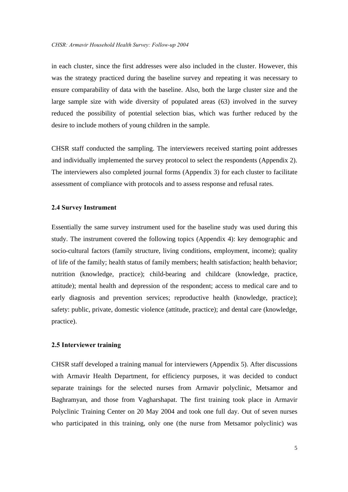in each cluster, since the first addresses were also included in the cluster. However, this was the strategy practiced during the baseline survey and repeating it was necessary to ensure comparability of data with the baseline. Also, both the large cluster size and the large sample size with wide diversity of populated areas (63) involved in the survey reduced the possibility of potential selection bias, which was further reduced by the desire to include mothers of young children in the sample.

CHSR staff conducted the sampling. The interviewers received starting point addresses and individually implemented the survey protocol to select the respondents (Appendix 2). The interviewers also completed journal forms (Appendix 3) for each cluster to facilitate assessment of compliance with protocols and to assess response and refusal rates.

#### **2.4 Survey Instrument**

Essentially the same survey instrument used for the baseline study was used during this study. The instrument covered the following topics (Appendix 4): key demographic and socio-cultural factors (family structure, living conditions, employment, income); quality of life of the family; health status of family members; health satisfaction; health behavior; nutrition (knowledge, practice); child-bearing and childcare (knowledge, practice, attitude); mental health and depression of the respondent; access to medical care and to early diagnosis and prevention services; reproductive health (knowledge, practice); safety: public, private, domestic violence (attitude, practice); and dental care (knowledge, practice).

#### **2.5 Interviewer training**

CHSR staff developed a training manual for interviewers (Appendix 5). After discussions with Armavir Health Department, for efficiency purposes, it was decided to conduct separate trainings for the selected nurses from Armavir polyclinic, Metsamor and Baghramyan, and those from Vagharshapat. The first training took place in Armavir Polyclinic Training Center on 20 May 2004 and took one full day. Out of seven nurses who participated in this training, only one (the nurse from Metsamor polyclinic) was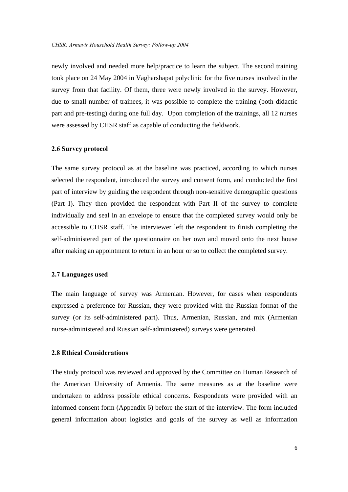newly involved and needed more help/practice to learn the subject. The second training took place on 24 May 2004 in Vagharshapat polyclinic for the five nurses involved in the survey from that facility. Of them, three were newly involved in the survey. However, due to small number of trainees, it was possible to complete the training (both didactic part and pre-testing) during one full day. Upon completion of the trainings, all 12 nurses were assessed by CHSR staff as capable of conducting the fieldwork.

#### **2.6 Survey protocol**

The same survey protocol as at the baseline was practiced, according to which nurses selected the respondent, introduced the survey and consent form, and conducted the first part of interview by guiding the respondent through non-sensitive demographic questions (Part I). They then provided the respondent with Part II of the survey to complete individually and seal in an envelope to ensure that the completed survey would only be accessible to CHSR staff. The interviewer left the respondent to finish completing the self-administered part of the questionnaire on her own and moved onto the next house after making an appointment to return in an hour or so to collect the completed survey.

#### **2.7 Languages used**

The main language of survey was Armenian. However, for cases when respondents expressed a preference for Russian, they were provided with the Russian format of the survey (or its self-administered part). Thus, Armenian, Russian, and mix (Armenian nurse-administered and Russian self-administered) surveys were generated.

#### **2.8 Ethical Considerations**

The study protocol was reviewed and approved by the Committee on Human Research of the American University of Armenia. The same measures as at the baseline were undertaken to address possible ethical concerns. Respondents were provided with an informed consent form (Appendix 6) before the start of the interview. The form included general information about logistics and goals of the survey as well as information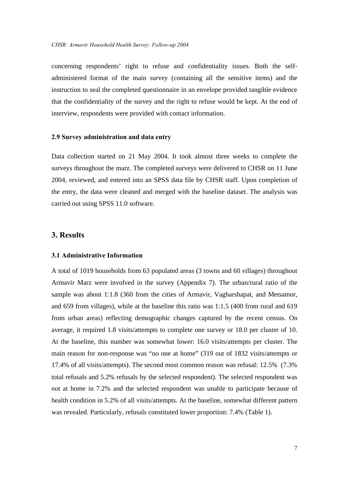concerning respondents' right to refuse and confidentiality issues. Both the selfadministered format of the main survey (containing all the sensitive items) and the instruction to seal the completed questionnaire in an envelope provided tangible evidence that the confidentiality of the survey and the right to refuse would be kept. At the end of interview, respondents were provided with contact information.

#### **2.9 Survey administration and data entry**

Data collection started on 21 May 2004. It took almost three weeks to complete the surveys throughout the marz. The completed surveys were delivered to CHSR on 11 June 2004, reviewed, and entered into an SPSS data file by CHSR staff. Upon completion of the entry, the data were cleaned and merged with the baseline dataset. The analysis was carried out using SPSS 11.0 software.

# **3. Results**

#### **3.1 Administrative Information**

A total of 1019 households from 63 populated areas (3 towns and 60 villages) throughout Armavir Marz were involved in the survey (Appendix 7). The urban/rural ratio of the sample was about 1:1.8 (360 from the cities of Armavir, Vagharshapat, and Metsamor, and 659 from villages), while at the baseline this ratio was 1:1.5 (400 from rural and 619 from urban areas) reflecting demographic changes captured by the recent census. On average, it required 1.8 visits/attempts to complete one survey or 18.0 per cluster of 10. At the baseline, this number was somewhat lower: 16.0 visits/attempts per cluster. The main reason for non-response was "no one at home" (319 out of 1832 visits/attempts or 17.4% of all visits/attempts). The second most common reason was refusal: 12.5% (7.3% total refusals and 5.2% refusals by the selected respondent). The selected respondent was not at home in 7.2% and the selected respondent was unable to participate because of health condition in 5.2% of all visits/attempts. At the baseline, somewhat different pattern was revealed. Particularly, refusals constituted lower proportion: 7.4% (Table 1).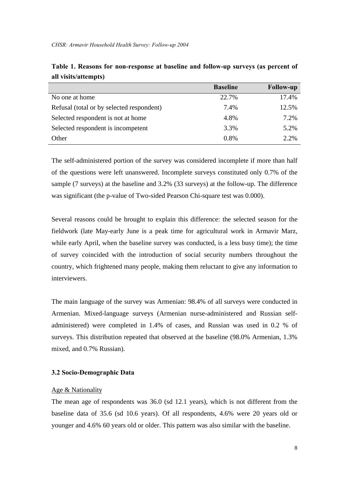|                                           | <b>Baseline</b> | <b>Follow-up</b> |
|-------------------------------------------|-----------------|------------------|
| No one at home                            | 22.7%           | 17.4%            |
| Refusal (total or by selected respondent) | 7.4%            | 12.5%            |
| Selected respondent is not at home        | 4.8%            | 7.2%             |
| Selected respondent is incompetent        | 3.3%            | 5.2%             |
| Other                                     | 0.8%            | 2.2%             |

|                      |  | Table 1. Reasons for non-response at baseline and follow-up surveys (as percent of |  |  |  |
|----------------------|--|------------------------------------------------------------------------------------|--|--|--|
| all visits/attempts) |  |                                                                                    |  |  |  |

The self-administered portion of the survey was considered incomplete if more than half of the questions were left unanswered. Incomplete surveys constituted only 0.7% of the sample (7 surveys) at the baseline and 3.2% (33 surveys) at the follow-up. The difference was significant (the p-value of Two-sided Pearson Chi-square test was 0.000).

Several reasons could be brought to explain this difference: the selected season for the fieldwork (late May-early June is a peak time for agricultural work in Armavir Marz, while early April, when the baseline survey was conducted, is a less busy time); the time of survey coincided with the introduction of social security numbers throughout the country, which frightened many people, making them reluctant to give any information to interviewers.

The main language of the survey was Armenian: 98.4% of all surveys were conducted in Armenian. Mixed-language surveys (Armenian nurse-administered and Russian selfadministered) were completed in 1.4% of cases, and Russian was used in 0.2 % of surveys. This distribution repeated that observed at the baseline (98.0% Armenian, 1.3% mixed, and 0.7% Russian).

#### **3.2 Socio-Demographic Data**

#### Age & Nationality

The mean age of respondents was 36.0 (sd 12.1 years), which is not different from the baseline data of 35.6 (sd 10.6 years). Of all respondents, 4.6% were 20 years old or younger and 4.6% 60 years old or older. This pattern was also similar with the baseline.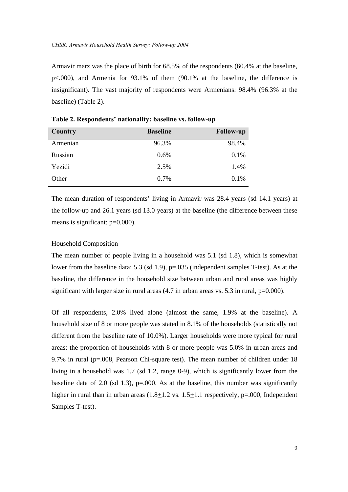Armavir marz was the place of birth for 68.5% of the respondents (60.4% at the baseline, p<.000), and Armenia for 93.1% of them (90.1% at the baseline, the difference is insignificant). The vast majority of respondents were Armenians: 98.4% (96.3% at the baseline) (Table 2).

| <b>Country</b> | <b>Baseline</b> | <b>Follow-up</b> |
|----------------|-----------------|------------------|
| Armenian       | 96.3%           | 98.4%            |
| Russian        | 0.6%            | 0.1%             |
| Yezidi         | 2.5%            | 1.4%             |
| Other          | 0.7%            | 0.1%             |

**Table 2. Respondents' nationality: baseline vs. follow-up**

The mean duration of respondents' living in Armavir was 28.4 years (sd 14.1 years) at the follow-up and 26.1 years (sd 13.0 years) at the baseline (the difference between these means is significant:  $p=0.000$ ).

#### Household Composition

The mean number of people living in a household was 5.1 (sd 1.8), which is somewhat lower from the baseline data: 5.3 (sd 1.9), p=.035 (independent samples T-test). As at the baseline, the difference in the household size between urban and rural areas was highly significant with larger size in rural areas  $(4.7 \text{ in urban areas vs. } 5.3 \text{ in rural, } p=0.000)$ .

Of all respondents, 2.0% lived alone (almost the same, 1.9% at the baseline). A household size of 8 or more people was stated in 8.1% of the households (statistically not different from the baseline rate of 10.0%). Larger households were more typical for rural areas: the proportion of households with 8 or more people was 5.0% in urban areas and 9.7% in rural (p=.008, Pearson Chi-square test). The mean number of children under 18 living in a household was 1.7 (sd 1.2, range 0-9), which is significantly lower from the baseline data of 2.0 (sd 1.3),  $p=0.000$ . As at the baseline, this number was significantly higher in rural than in urban areas (1.8+1.2 vs. 1.5+1.1 respectively, p=.000, Independent Samples T-test).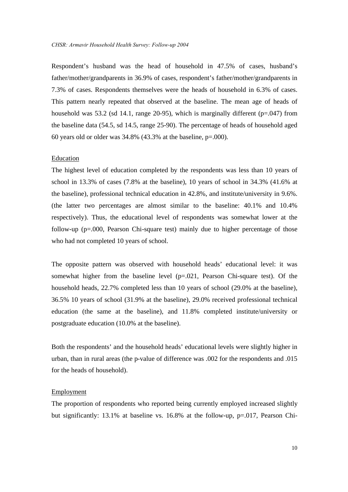Respondent's husband was the head of household in 47.5% of cases, husband's father/mother/grandparents in 36.9% of cases, respondent's father/mother/grandparents in 7.3% of cases. Respondents themselves were the heads of household in 6.3% of cases. This pattern nearly repeated that observed at the baseline. The mean age of heads of household was 53.2 (sd 14.1, range 20-95), which is marginally different (p=.047) from the baseline data (54.5, sd 14.5, range 25-90). The percentage of heads of household aged 60 years old or older was 34.8% (43.3% at the baseline, p=.000).

#### Education

The highest level of education completed by the respondents was less than 10 years of school in 13.3% of cases (7.8% at the baseline), 10 years of school in 34.3% (41.6% at the baseline), professional technical education in 42.8%, and institute/university in 9.6%. (the latter two percentages are almost similar to the baseline: 40.1% and 10.4% respectively). Thus, the educational level of respondents was somewhat lower at the follow-up (p=.000, Pearson Chi-square test) mainly due to higher percentage of those who had not completed 10 years of school.

The opposite pattern was observed with household heads' educational level: it was somewhat higher from the baseline level  $(p=.021,$  Pearson Chi-square test). Of the household heads, 22.7% completed less than 10 years of school (29.0% at the baseline), 36.5% 10 years of school (31.9% at the baseline), 29.0% received professional technical education (the same at the baseline), and 11.8% completed institute/university or postgraduate education (10.0% at the baseline).

Both the respondents' and the household heads' educational levels were slightly higher in urban, than in rural areas (the p-value of difference was .002 for the respondents and .015 for the heads of household).

#### **Employment**

The proportion of respondents who reported being currently employed increased slightly but significantly: 13.1% at baseline vs. 16.8% at the follow-up, p=.017, Pearson Chi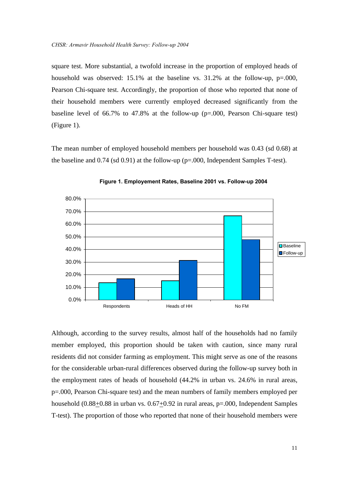square test. More substantial, a twofold increase in the proportion of employed heads of household was observed: 15.1% at the baseline vs. 31.2% at the follow-up, p=.000, Pearson Chi-square test. Accordingly, the proportion of those who reported that none of their household members were currently employed decreased significantly from the baseline level of 66.7% to 47.8% at the follow-up (p=.000, Pearson Chi-square test) (Figure 1).

The mean number of employed household members per household was 0.43 (sd 0.68) at the baseline and 0.74 (sd 0.91) at the follow-up (p=.000, Independent Samples T-test).





Although, according to the survey results, almost half of the households had no family member employed, this proportion should be taken with caution, since many rural residents did not consider farming as employment. This might serve as one of the reasons for the considerable urban-rural differences observed during the follow-up survey both in the employment rates of heads of household (44.2% in urban vs. 24.6% in rural areas, p=.000, Pearson Chi-square test) and the mean numbers of family members employed per household  $(0.88\pm0.88$  in urban vs.  $0.67\pm0.92$  in rural areas, p=.000, Independent Samples T-test). The proportion of those who reported that none of their household members were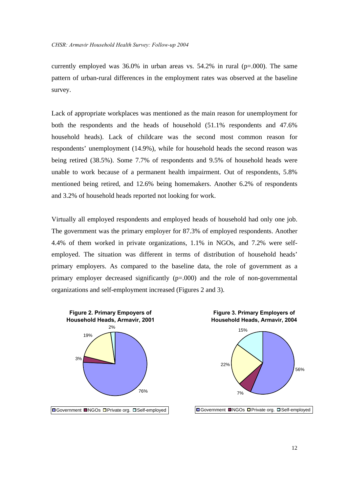currently employed was  $36.0\%$  in urban areas vs.  $54.2\%$  in rural (p=.000). The same pattern of urban-rural differences in the employment rates was observed at the baseline survey.

Lack of appropriate workplaces was mentioned as the main reason for unemployment for both the respondents and the heads of household (51.1% respondents and 47.6% household heads). Lack of childcare was the second most common reason for respondents' unemployment (14.9%), while for household heads the second reason was being retired (38.5%). Some 7.7% of respondents and 9.5% of household heads were unable to work because of a permanent health impairment. Out of respondents, 5.8% mentioned being retired, and 12.6% being homemakers. Another 6.2% of respondents and 3.2% of household heads reported not looking for work.

Virtually all employed respondents and employed heads of household had only one job. The government was the primary employer for 87.3% of employed respondents. Another 4.4% of them worked in private organizations, 1.1% in NGOs, and 7.2% were selfemployed. The situation was different in terms of distribution of household heads' primary employers. As compared to the baseline data, the role of government as a primary employer decreased significantly  $(p=0.000)$  and the role of non-governmental organizations and self-employment increased (Figures 2 and 3).

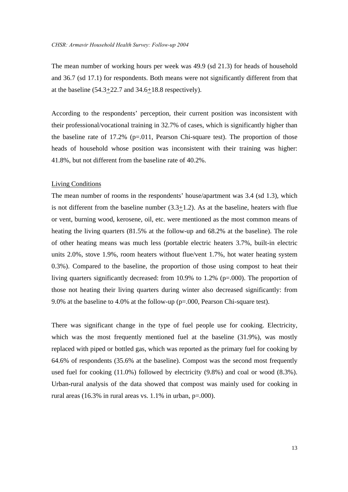The mean number of working hours per week was 49.9 (sd 21.3) for heads of household and 36.7 (sd 17.1) for respondents. Both means were not significantly different from that at the baseline  $(54.3+22.7 \text{ and } 34.6+18.8 \text{ respectively}).$ 

According to the respondents' perception, their current position was inconsistent with their professional/vocational training in 32.7% of cases, which is significantly higher than the baseline rate of  $17.2\%$  (p=.011, Pearson Chi-square test). The proportion of those heads of household whose position was inconsistent with their training was higher: 41.8%, but not different from the baseline rate of 40.2%.

#### Living Conditions

The mean number of rooms in the respondents' house/apartment was 3.4 (sd 1.3), which is not different from the baseline number  $(3.3+1.2)$ . As at the baseline, heaters with flue or vent, burning wood, kerosene, oil, etc. were mentioned as the most common means of heating the living quarters (81.5% at the follow-up and 68.2% at the baseline). The role of other heating means was much less (portable electric heaters 3.7%, built-in electric units 2.0%, stove 1.9%, room heaters without flue/vent 1.7%, hot water heating system 0.3%). Compared to the baseline, the proportion of those using compost to heat their living quarters significantly decreased: from 10.9% to 1.2% (p=.000). The proportion of those not heating their living quarters during winter also decreased significantly: from 9.0% at the baseline to 4.0% at the follow-up (p=.000, Pearson Chi-square test).

There was significant change in the type of fuel people use for cooking. Electricity, which was the most frequently mentioned fuel at the baseline (31.9%), was mostly replaced with piped or bottled gas, which was reported as the primary fuel for cooking by 64.6% of respondents (35.6% at the baseline). Compost was the second most frequently used fuel for cooking (11.0%) followed by electricity (9.8%) and coal or wood (8.3%). Urban-rural analysis of the data showed that compost was mainly used for cooking in rural areas (16.3% in rural areas vs.  $1.1\%$  in urban, p=.000).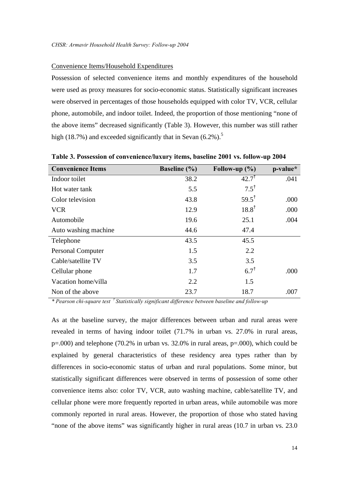#### Convenience Items/Household Expenditures

Possession of selected convenience items and monthly expenditures of the household were used as proxy measures for socio-economic status. Statistically significant increases were observed in percentages of those households equipped with color TV, VCR, cellular phone, automobile, and indoor toilet. Indeed, the proportion of those mentioning "none of the above items" decreased significantly (Table 3). However, this number was still rather high (18.7%) and exceeded significantly that in Sevan  $(6.2\%)$ .<sup>5</sup>

| <b>Convenience Items</b> | <b>Baseline</b> (%) | Follow-up $(\% )$ | p-value* |
|--------------------------|---------------------|-------------------|----------|
| Indoor toilet            | 38.2                | $42.7^{\dagger}$  | .041     |
| Hot water tank           | 5.5                 | $7.5^{\dagger}$   |          |
| Color television         | 43.8                | $59.5^{\dagger}$  | .000     |
| <b>VCR</b>               | 12.9                | $18.8^{\dagger}$  | .000     |
| Automobile               | 19.6                | 25.1              | .004     |
| Auto washing machine     | 44.6                | 47.4              |          |
| Telephone                | 43.5                | 45.5              |          |
| <b>Personal Computer</b> | 1.5                 | 2.2               |          |
| Cable/satellite TV       | 3.5                 | 3.5               |          |
| Cellular phone           | 1.7                 | 6.7 <sup>†</sup>  | .000     |
| Vacation home/villa      | 2.2                 | 1.5               |          |
| Non of the above         | 23.7                | 18.7              | .007     |

**Table 3. Possession of convenience/luxury items, baseline 2001 vs. follow-up 2004**

*\* Pearson chi-square test † Statistically significant difference between baseline and follow-up*

As at the baseline survey, the major differences between urban and rural areas were revealed in terms of having indoor toilet (71.7% in urban vs. 27.0% in rural areas, p=.000) and telephone (70.2% in urban vs. 32.0% in rural areas, p=.000), which could be explained by general characteristics of these residency area types rather than by differences in socio-economic status of urban and rural populations. Some minor, but statistically significant differences were observed in terms of possession of some other convenience items also: color TV, VCR, auto washing machine, cable/satellite TV, and cellular phone were more frequently reported in urban areas, while automobile was more commonly reported in rural areas. However, the proportion of those who stated having "none of the above items" was significantly higher in rural areas (10.7 in urban vs. 23.0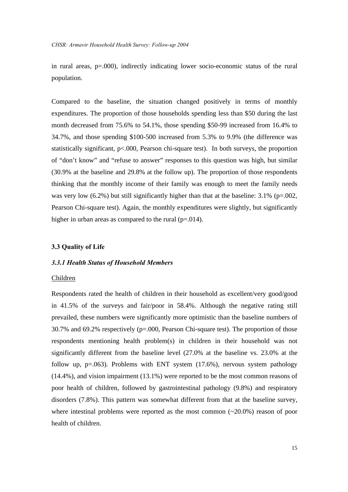in rural areas, p=.000), indirectly indicating lower socio-economic status of the rural population.

Compared to the baseline, the situation changed positively in terms of monthly expenditures. The proportion of those households spending less than \$50 during the last month decreased from 75.6% to 54.1%, those spending \$50-99 increased from 16.4% to 34.7%, and those spending \$100-500 increased from 5.3% to 9.9% (the difference was statistically significant, p<.000, Pearson chi-square test). In both surveys, the proportion of "don't know" and "refuse to answer" responses to this question was high, but similar (30.9% at the baseline and 29.8% at the follow up). The proportion of those respondents thinking that the monthly income of their family was enough to meet the family needs was very low  $(6.2\%)$  but still significantly higher than that at the baseline:  $3.1\%$  (p=.002, Pearson Chi-square test). Again, the monthly expenditures were slightly, but significantly higher in urban areas as compared to the rural  $(p=.014)$ .

#### **3.3 Quality of Life**

#### *3.3.1 Health Status of Household Members*

#### Children

Respondents rated the health of children in their household as excellent/very good/good in 41.5% of the surveys and fair/poor in 58.4%. Although the negative rating still prevailed, these numbers were significantly more optimistic than the baseline numbers of 30.7% and 69.2% respectively (p=.000, Pearson Chi-square test). The proportion of those respondents mentioning health problem(s) in children in their household was not significantly different from the baseline level (27.0% at the baseline vs. 23.0% at the follow up,  $p=.063$ ). Problems with ENT system  $(17.6\%)$ , nervous system pathology (14.4%), and vision impairment (13.1%) were reported to be the most common reasons of poor health of children, followed by gastrointestinal pathology (9.8%) and respiratory disorders (7.8%). This pattern was somewhat different from that at the baseline survey, where intestinal problems were reported as the most common  $(\sim 20.0\%)$  reason of poor health of children.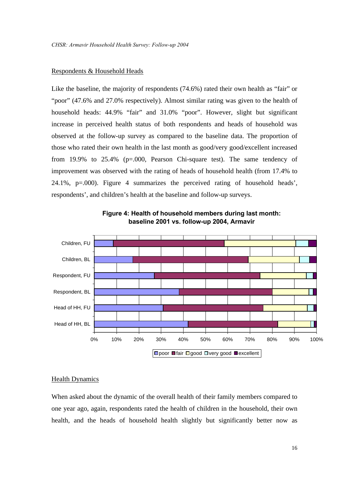#### Respondents & Household Heads

Like the baseline, the majority of respondents (74.6%) rated their own health as "fair" or "poor" (47.6% and 27.0% respectively). Almost similar rating was given to the health of household heads: 44.9% "fair" and 31.0% "poor". However, slight but significant increase in perceived health status of both respondents and heads of household was observed at the follow-up survey as compared to the baseline data. The proportion of those who rated their own health in the last month as good/very good/excellent increased from 19.9% to 25.4% (p=.000, Pearson Chi-square test). The same tendency of improvement was observed with the rating of heads of household health (from 17.4% to 24.1%, p=.000). Figure 4 summarizes the perceived rating of household heads', respondents', and children's health at the baseline and follow-up surveys.



**Figure 4: Health of household members during last month: baseline 2001 vs. follow-up 2004, Armavir**

#### **Health Dynamics**

When asked about the dynamic of the overall health of their family members compared to one year ago, again, respondents rated the health of children in the household, their own health, and the heads of household health slightly but significantly better now as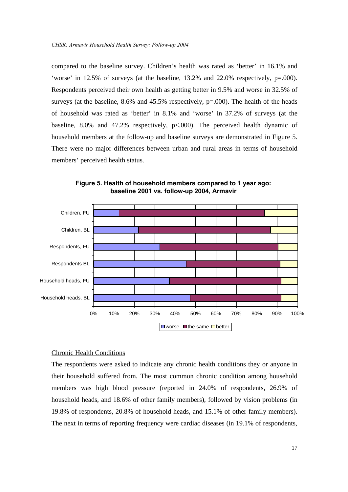compared to the baseline survey. Children's health was rated as 'better' in 16.1% and 'worse' in 12.5% of surveys (at the baseline, 13.2% and 22.0% respectively, p=.000). Respondents perceived their own health as getting better in 9.5% and worse in 32.5% of surveys (at the baseline,  $8.6\%$  and  $45.5\%$  respectively,  $p=.000$ ). The health of the heads of household was rated as 'better' in 8.1% and 'worse' in 37.2% of surveys (at the baseline,  $8.0\%$  and  $47.2\%$  respectively,  $p<0.00$ . The perceived health dynamic of household members at the follow-up and baseline surveys are demonstrated in Figure 5. There were no major differences between urban and rural areas in terms of household members' perceived health status.



**Figure 5. Health of household members compared to 1 year ago: baseline 2001 vs. follow-up 2004, Armavir**

#### Chronic Health Conditions

The respondents were asked to indicate any chronic health conditions they or anyone in their household suffered from. The most common chronic condition among household members was high blood pressure (reported in 24.0% of respondents, 26.9% of household heads, and 18.6% of other family members), followed by vision problems (in 19.8% of respondents, 20.8% of household heads, and 15.1% of other family members). The next in terms of reporting frequency were cardiac diseases (in 19.1% of respondents,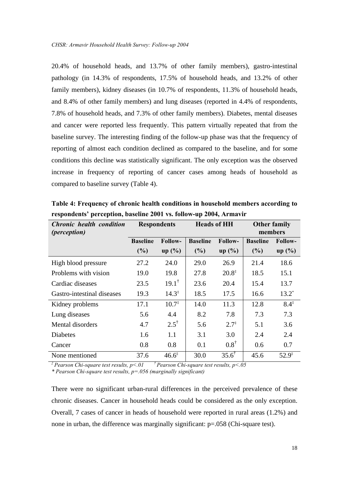20.4% of household heads, and 13.7% of other family members), gastro-intestinal pathology (in 14.3% of respondents, 17.5% of household heads, and 13.2% of other family members), kidney diseases (in 10.7% of respondents, 11.3% of household heads, and 8.4% of other family members) and lung diseases (reported in 4.4% of respondents, 7.8% of household heads, and 7.3% of other family members). Diabetes, mental diseases and cancer were reported less frequently. This pattern virtually repeated that from the baseline survey. The interesting finding of the follow-up phase was that the frequency of reporting of almost each condition declined as compared to the baseline, and for some conditions this decline was statistically significant. The only exception was the observed increase in frequency of reporting of cancer cases among heads of household as compared to baseline survey (Table 4).

| <b>Chronic health condition</b><br><i>(perception)</i> | <b>Respondents</b>     |                            | <b>Heads of HH</b>     |                            | <b>Other family</b><br>members |                            |
|--------------------------------------------------------|------------------------|----------------------------|------------------------|----------------------------|--------------------------------|----------------------------|
|                                                        | <b>Baseline</b><br>(%) | <b>Follow-</b><br>$up($ %) | <b>Baseline</b><br>(%) | <b>Follow-</b><br>$up($ %) | <b>Baseline</b><br>(%)         | <b>Follow-</b><br>$up($ %) |
| High blood pressure                                    | 27.2                   | 24.0                       | 29.0                   | 26.9                       | 21.4                           | 18.6                       |
| Problems with vision                                   | 19.0                   | 19.8                       | 27.8                   | $20.8^{\ddagger}$          | 18.5                           | 15.1                       |
| Cardiac diseases                                       | 23.5                   | $19.1^{\dagger}$           | 23.6                   | 20.4                       | 15.4                           | 13.7                       |
| Gastro-intestinal diseases                             | 19.3                   | $14.3^{\ddagger}$          | 18.5                   | 17.5                       | 16.6                           | $13.2^*$                   |
| Kidney problems                                        | 17.1                   | $10.7^{\ddagger}$          | 14.0                   | 11.3                       | 12.8                           | $8.4^{\ddagger}$           |
| Lung diseases                                          | 5.6                    | 4.4                        | 8.2                    | 7.8                        | 7.3                            | 7.3                        |
| Mental disorders                                       | 4.7                    | $2.5^{\dagger}$            | 5.6                    | $2.7^{\ddagger}$           | 5.1                            | 3.6                        |
| <b>Diabetes</b>                                        | 1.6                    | 1.1                        | 3.1                    | 3.0                        | 2.4                            | 2.4                        |
| Cancer                                                 | 0.8                    | 0.8                        | 0.1                    | $0.8^{\dagger}$            | 0.6                            | 0.7                        |
| None mentioned                                         | 37.6                   | $46.6^{\ddagger}$          | 30.0                   | $35.6^{\dagger}$           | 45.6                           | $52.9^{\ddagger}$          |

**Table 4: Frequency of chronic health conditions in household members according to respondents' perception, baseline 2001 vs. follow-up 2004, Armavir** 

*‡ Pearson Chi-square test results, p<.01 † Pearson Chi-square test results, p<.05*

*\* Pearson Chi-square test results, p=.056 (marginally significant)*

There were no significant urban-rural differences in the perceived prevalence of these chronic diseases. Cancer in household heads could be considered as the only exception. Overall, 7 cases of cancer in heads of household were reported in rural areas (1.2%) and none in urban, the difference was marginally significant: p=.058 (Chi-square test).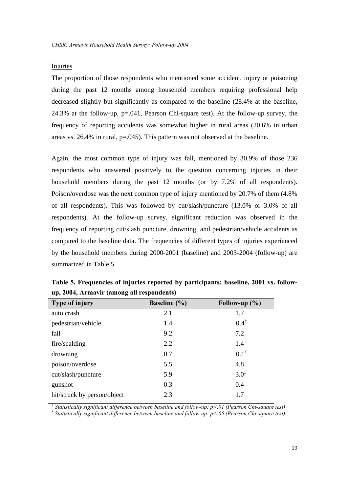#### Injuries

The proportion of those respondents who mentioned some accident, injury or poisoning during the past 12 months among household members requiring professional help decreased slightly but significantly as compared to the baseline (28.4% at the baseline, 24.3% at the follow-up, p=.041, Pearson Chi-square test). At the follow-up survey, the frequency of reporting accidents was somewhat higher in rural areas (20.6% in urban areas vs. 26.4% in rural, p=.045). This pattern was not observed at the baseline.

Again, the most common type of injury was fall, mentioned by 30.9% of those 236 respondents who answered positively to the question concerning injuries in their household members during the past 12 months (or by 7.2% of all respondents). Poison/overdose was the next common type of injury mentioned by 20.7% of them (4.8% of all respondents). This was followed by cut/slash/puncture (13.0% or 3.0% of all respondents). At the follow-up survey, significant reduction was observed in the frequency of reporting cut/slash puncture, drowning, and pedestrian/vehicle accidents as compared to the baseline data. The frequencies of different types of injuries experienced by the household members during 2000-2001 (baseline) and 2003-2004 (follow-up) are summarized in Table 5.

| Type of injury              | <b>Baseline</b> (%) | Follow-up $(\% )$ |
|-----------------------------|---------------------|-------------------|
| auto crash                  | 2.1                 | 1.7               |
| pedestrian/vehicle          | 1.4                 | $0.4^{\dagger}$   |
| fall                        | 9.2                 | 7.2               |
| fire/scalding               | 2.2                 | 1.4               |
| drowning                    | 0.7                 | $0.1^{\dagger}$   |
| poison/overdose             | 5.5                 | 4.8               |
| cut/slash/puncture          | 5.9                 | $3.0^{\ddagger}$  |
| gunshot                     | 0.3                 | 0.4               |
| hit/struck by person/object | 2.3                 | 1.7               |

**Table 5. Frequencies of injuries reported by participants: baseline, 2001 vs. followup, 2004, Armavir (among all respondents)**

*‡ Statistically significant difference between baseline and follow-up: p<.01 (Pearson Chi-square test) † Statistically significant difference between baseline and follow-up: p<.05 (Pearson Chi-square test)*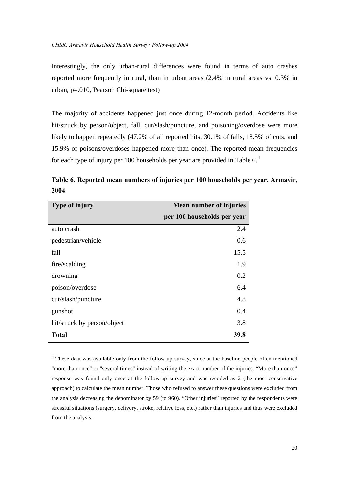Interestingly, the only urban-rural differences were found in terms of auto crashes reported more frequently in rural, than in urban areas (2.4% in rural areas vs. 0.3% in urban, p=.010, Pearson Chi-square test)

The majority of accidents happened just once during 12-month period. Accidents like hit/struck by person/object, fall, cut/slash/puncture, and poisoning/overdose were more likely to happen repeatedly (47.2% of all reported hits, 30.1% of falls, 18.5% of cuts, and 15.9% of poisons/overdoses happened more than once). The reported mean frequencies for each type of injury per 100 households per year are provided in Table  $6$ .<sup>ii</sup>

**Table 6. Reported mean numbers of injuries per 100 households per year, Armavir, 2004**

| Type of injury              | <b>Mean number of injuries</b> |  |  |  |  |
|-----------------------------|--------------------------------|--|--|--|--|
|                             | per 100 households per year    |  |  |  |  |
| auto crash                  | 2.4                            |  |  |  |  |
| pedestrian/vehicle          | 0.6                            |  |  |  |  |
| fall                        | 15.5                           |  |  |  |  |
| fire/scalding               | 1.9                            |  |  |  |  |
| drowning                    | 0.2                            |  |  |  |  |
| poison/overdose             | 6.4                            |  |  |  |  |
| cut/slash/puncture          | 4.8                            |  |  |  |  |
| gunshot                     | 0.4                            |  |  |  |  |
| hit/struck by person/object | 3.8                            |  |  |  |  |
| <b>Total</b>                | 39.8                           |  |  |  |  |

 $\overline{a}$ 

ii These data was available only from the follow-up survey, since at the baseline people often mentioned "more than once" or "several times" instead of writing the exact number of the injuries. "More than once" response was found only once at the follow-up survey and was recoded as 2 (the most conservative approach) to calculate the mean number. Those who refused to answer these questions were excluded from the analysis decreasing the denominator by 59 (to 960). "Other injuries" reported by the respondents were stressful situations (surgery, delivery, stroke, relative loss, etc.) rather than injuries and thus were excluded from the analysis.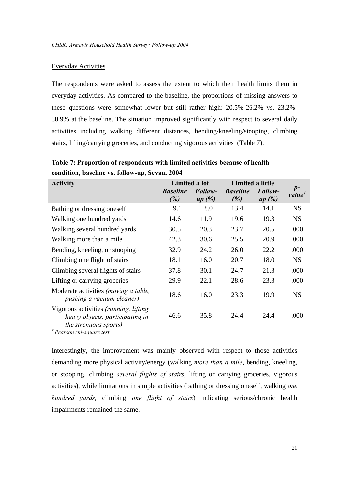#### Everyday Activities

The respondents were asked to assess the extent to which their health limits them in everyday activities. As compared to the baseline, the proportions of missing answers to these questions were somewhat lower but still rather high: 20.5%-26.2% vs. 23.2%- 30.9% at the baseline. The situation improved significantly with respect to several daily activities including walking different distances, bending/kneeling/stooping, climbing stairs, lifting/carrying groceries, and conducting vigorous activities (Table 7).

**Table 7: Proportion of respondents with limited activities because of health condition, baseline vs. follow-up, Sevan, 2004** 

| <b>Activity</b>                                                                                          | Limited a lot          |                                    | Limited a little       |                  |                            |
|----------------------------------------------------------------------------------------------------------|------------------------|------------------------------------|------------------------|------------------|----------------------------|
|                                                                                                          | <b>Baseline</b><br>(%) | Follow-<br>(%)<br>$\boldsymbol{u}$ | <b>Baseline</b><br>(%) | Follow-<br>up(%) | $p-$<br>value <sup>†</sup> |
| Bathing or dressing oneself                                                                              | 9.1                    | 8.0                                | 13.4                   | 14.1             | <b>NS</b>                  |
| Walking one hundred yards                                                                                | 14.6                   | 11.9                               | 19.6                   | 19.3             | <b>NS</b>                  |
| Walking several hundred yards                                                                            | 30.5                   | 20.3                               | 23.7                   | 20.5             | .000                       |
| Walking more than a mile.                                                                                | 42.3                   | 30.6                               | 25.5                   | 20.9             | .000                       |
| Bending, kneeling, or stooping                                                                           | 32.9                   | 24.2                               | 26.0                   | 22.2             | .000                       |
| Climbing one flight of stairs                                                                            | 18.1                   | 16.0                               | 20.7                   | 18.0             | <b>NS</b>                  |
| Climbing several flights of stairs                                                                       | 37.8                   | 30.1                               | 24.7                   | 21.3             | .000                       |
| Lifting or carrying groceries                                                                            | 29.9                   | 22.1                               | 28.6                   | 23.3             | .000                       |
| Moderate activities (moving a table,<br>pushing a vacuum cleaner)                                        | 18.6                   | 16.0                               | 23.3                   | 19.9             | <b>NS</b>                  |
| Vigorous activities (running, lifting<br>heavy objects, participating in<br><i>the strenuous sports)</i> | 46.6                   | 35.8                               | 24.4                   | 24.4             | .000                       |

*† Pearson chi-square test* 

Interestingly, the improvement was mainly observed with respect to those activities demanding more physical activity/energy (walking *more than a mile*, bending, kneeling, or stooping, climbing *several flights of stairs*, lifting or carrying groceries, vigorous activities), while limitations in simple activities (bathing or dressing oneself, walking *one hundred yards*, climbing *one flight of stairs*) indicating serious/chronic health impairments remained the same.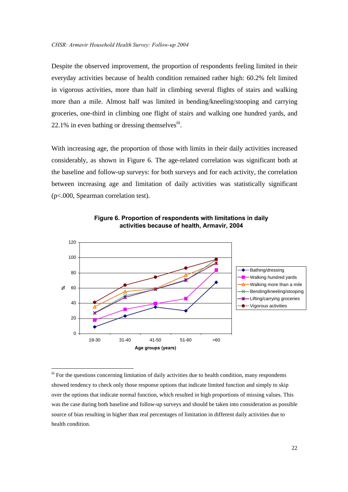Despite the observed improvement, the proportion of respondents feeling limited in their everyday activities because of health condition remained rather high: 60.2% felt limited in vigorous activities, more than half in climbing several flights of stairs and walking more than a mile. Almost half was limited in bending/kneeling/stooping and carrying groceries, one-third in climbing one flight of stairs and walking one hundred yards, and 22.1% in even bathing or dressing themselves<sup>iii</sup>.

With increasing age, the proportion of those with limits in their daily activities increased considerably, as shown in Figure 6. The age-related correlation was significant both at the baseline and follow-up surveys: for both surveys and for each activity, the correlation between increasing age and limitation of daily activities was statistically significant (p<.000, Spearman correlation test).



**Figure 6. Proportion of respondents with limitations in daily activities because of health, Armavir, 2004**

1

iii For the questions concerning limitation of daily activities due to health condition, many respondents showed tendency to check only those response options that indicate limited function and simply to skip over the options that indicate normal function, which resulted in high proportions of missing values. This was the case during both baseline and follow-up surveys and should be taken into consideration as possible source of bias resulting in higher than real percentages of limitation in different daily activities due to health condition.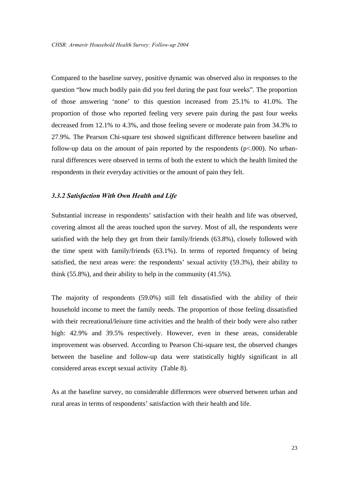Compared to the baseline survey, positive dynamic was observed also in responses to the question "how much bodily pain did you feel during the past four weeks". The proportion of those answering 'none' to this question increased from 25.1% to 41.0%. The proportion of those who reported feeling very severe pain during the past four weeks decreased from 12.1% to 4.3%, and those feeling severe or moderate pain from 34.3% to 27.9%. The Pearson Chi-square test showed significant difference between baseline and follow-up data on the amount of pain reported by the respondents  $(p<.000)$ . No urbanrural differences were observed in terms of both the extent to which the health limited the respondents in their everyday activities or the amount of pain they felt.

#### *3.3.2 Satisfaction With Own Health and Life*

Substantial increase in respondents' satisfaction with their health and life was observed, covering almost all the areas touched upon the survey. Most of all, the respondents were satisfied with the help they get from their family/friends (63.8%), closely followed with the time spent with family/friends (63.1%). In terms of reported frequency of being satisfied, the next areas were: the respondents' sexual activity (59.3%), their ability to think (55.8%), and their ability to help in the community (41.5%).

The majority of respondents (59.0%) still felt dissatisfied with the ability of their household income to meet the family needs. The proportion of those feeling dissatisfied with their recreational/leisure time activities and the health of their body were also rather high: 42.9% and 39.5% respectively. However, even in these areas, considerable improvement was observed. According to Pearson Chi-square test, the observed changes between the baseline and follow-up data were statistically highly significant in all considered areas except sexual activity (Table 8).

As at the baseline survey, no considerable differences were observed between urban and rural areas in terms of respondents' satisfaction with their health and life.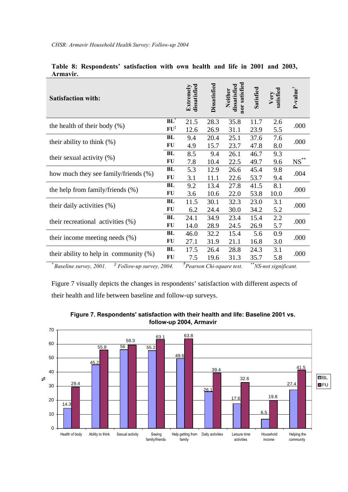| Аншауп .                                  |                 |                           |                     |                                          |           |                   |                      |
|-------------------------------------------|-----------------|---------------------------|---------------------|------------------------------------------|-----------|-------------------|----------------------|
| <b>Satisfaction with:</b>                 |                 | dissatisfied<br>Extremely | <b>Dissatisfied</b> | nor satisfied<br>Neither<br>dissatisfied | Satisfied | Very<br>satisfied | P-value <sup>†</sup> |
| the health of their body $(\%)$           | $BL^*$          | 21.5                      | 28.3                | 35.8                                     | 11.7      | 2.6               | .000                 |
|                                           | $FU^{\ddagger}$ | 12.6                      | 26.9                | 31.1                                     | 23.9      | 5.5               |                      |
| their ability to think $(\%)$             | BL              | 9.4                       | 20.4                | 25.1                                     | 37.6      | 7.6               | .000                 |
|                                           | FU              | 4.9                       | 15.7                | 23.7                                     | 47.8      | 8.0               |                      |
| their sexual activity $(\%)$              |                 | 8.5                       | 9.4                 | 26.1                                     | 46.7      | 9.3               |                      |
|                                           |                 | 7.8                       | 10.4                | 22.5                                     | 49.7      | 9.6               | $NS$ **              |
|                                           |                 | 5.3                       | 12.9                | 26.6                                     | 45.4      | 9.8               | .004                 |
| how much they see family/friends (%)      | FU              | 3.1                       | 11.1                | 22.6                                     | 53.7      | 9.4               |                      |
|                                           | BL              | 9.2                       | 13.4                | 27.8                                     | 41.5      | 8.1               | .000                 |
| the help from family/friends (%)          | FU              | 3.6                       | 10.6                | 22.0                                     | 53.8      | 10.0              |                      |
| their daily activities (%)                | BL              | 11.5                      | 30.1                | 32.3                                     | 23.0      | 3.1               | .000                 |
|                                           | FU              | 6.2                       | 24.4                | 30.0                                     | 34.2      | 5.2               |                      |
| their recreational activities (%)         | BL              | 24.1                      | 34.9                | 23.4                                     | 15.4      | 2.2               | .000                 |
|                                           | FU              | 14.0                      | 28.9                | 24.5                                     | 26.9      | 5.7               |                      |
|                                           | BL              | 46.0                      | 32.2                | 15.4                                     | 5.6       | 0.9               | .000                 |
| their income meeting needs $(\%)$         | FU              | 27.1                      | 31.9                | 21.1                                     | 16.8      | 3.0               |                      |
|                                           | BL              | 17.5                      | 26.4                | 28.8                                     | 24.3      | 3.1               | .000                 |
| their ability to help in community $(\%)$ | FU              | 7.5                       | 19.6                | 31.3                                     | 35.7      | 5.8               |                      |
|                                           |                 | ÷                         |                     |                                          |           |                   |                      |

|          | Table 8: Respondents' satisfaction with own health and life in 2001 and 2003, |  |  |  |  |  |
|----------|-------------------------------------------------------------------------------|--|--|--|--|--|
| Armavir. |                                                                               |  |  |  |  |  |

*\* Baseline survey, 2001. ‡ Follow-up survey, 2004. † Pearson Chi-square test. \*\*NS-not significant.* 

Figure 7 visually depicts the changes in respondents' satisfaction with different aspects of their health and life between baseline and follow-up surveys.



**Figure 7. Respondents' satisfaction with their health and life: Baseline 2001 vs. follow-up 2004, Armavir**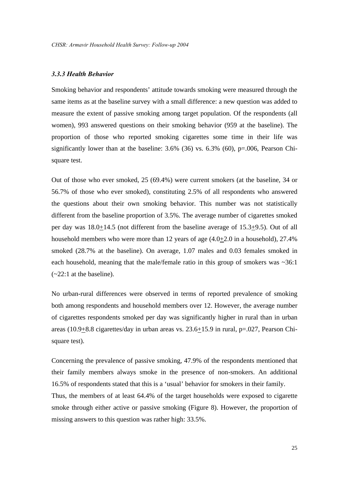#### *3.3.3 Health Behavior*

Smoking behavior and respondents' attitude towards smoking were measured through the same items as at the baseline survey with a small difference: a new question was added to measure the extent of passive smoking among target population. Of the respondents (all women), 993 answered questions on their smoking behavior (959 at the baseline). The proportion of those who reported smoking cigarettes some time in their life was significantly lower than at the baseline:  $3.6\%$  (36) vs.  $6.3\%$  (60), p=.006, Pearson Chisquare test.

Out of those who ever smoked, 25 (69.4%) were current smokers (at the baseline, 34 or 56.7% of those who ever smoked), constituting 2.5% of all respondents who answered the questions about their own smoking behavior. This number was not statistically different from the baseline proportion of 3.5%. The average number of cigarettes smoked per day was 18.0+14.5 (not different from the baseline average of 15.3+9.5). Out of all household members who were more than 12 years of age  $(4.0\pm 2.0 \text{ in a household})$ , 27.4% smoked (28.7% at the baseline). On average, 1.07 males and 0.03 females smoked in each household, meaning that the male/female ratio in this group of smokers was  $\sim 36:1$  $(-22:1$  at the baseline).

No urban-rural differences were observed in terms of reported prevalence of smoking both among respondents and household members over 12. However, the average number of cigarettes respondents smoked per day was significantly higher in rural than in urban areas (10.9+8.8 cigarettes/day in urban areas vs. 23.6+15.9 in rural, p=.027, Pearson Chisquare test).

Concerning the prevalence of passive smoking, 47.9% of the respondents mentioned that their family members always smoke in the presence of non-smokers. An additional 16.5% of respondents stated that this is a 'usual' behavior for smokers in their family. Thus, the members of at least 64.4% of the target households were exposed to cigarette smoke through either active or passive smoking (Figure 8). However, the proportion of missing answers to this question was rather high: 33.5%.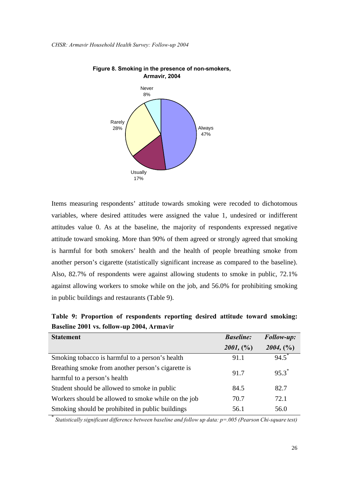

**Figure 8. Smoking in the presence of non-smokers, Armavir, 2004**

Items measuring respondents' attitude towards smoking were recoded to dichotomous variables, where desired attitudes were assigned the value 1, undesired or indifferent attitudes value 0. As at the baseline, the majority of respondents expressed negative attitude toward smoking. More than 90% of them agreed or strongly agreed that smoking is harmful for both smokers' health and the health of people breathing smoke from another person's cigarette (statistically significant increase as compared to the baseline). Also, 82.7% of respondents were against allowing students to smoke in public, 72.1% against allowing workers to smoke while on the job, and 56.0% for prohibiting smoking in public buildings and restaurants (Table 9).

| <b>Statement</b>                                    | <b>Baseline:</b> | Follow-up: |
|-----------------------------------------------------|------------------|------------|
|                                                     | 2001, (%)        | 2004, (%)  |
| Smoking tobacco is harmful to a person's health     | 91.1             | $94.5^*$   |
| Breathing smoke from another person's cigarette is  | 91.7             | $95.3^*$   |
| harmful to a person's health                        |                  |            |
| Student should be allowed to smoke in public        | 84.5             | 82.7       |
| Workers should be allowed to smoke while on the job | 70.7             | 72.1       |
| Smoking should be prohibited in public buildings    | 56.1             | 56.0       |

**Table 9: Proportion of respondents reporting desired attitude toward smoking: Baseline 2001 vs. follow-up 2004, Armavir** 

\* *Statistically significant difference between baseline and follow up data: p=.005 (Pearson Chi-square test)*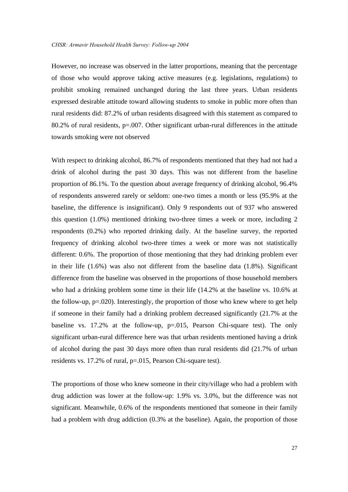However, no increase was observed in the latter proportions, meaning that the percentage of those who would approve taking active measures (e.g. legislations, regulations) to prohibit smoking remained unchanged during the last three years. Urban residents expressed desirable attitude toward allowing students to smoke in public more often than rural residents did: 87.2% of urban residents disagreed with this statement as compared to 80.2% of rural residents,  $p=0.007$ . Other significant urban-rural differences in the attitude towards smoking were not observed

With respect to drinking alcohol, 86.7% of respondents mentioned that they had not had a drink of alcohol during the past 30 days. This was not different from the baseline proportion of 86.1%. To the question about average frequency of drinking alcohol, 96.4% of respondents answered rarely or seldom: one-two times a month or less (95.9% at the baseline, the difference is insignificant). Only 9 respondents out of 937 who answered this question (1.0%) mentioned drinking two-three times a week or more, including 2 respondents (0.2%) who reported drinking daily. At the baseline survey, the reported frequency of drinking alcohol two-three times a week or more was not statistically different: 0.6%. The proportion of those mentioning that they had drinking problem ever in their life (1.6%) was also not different from the baseline data (1.8%). Significant difference from the baseline was observed in the proportions of those household members who had a drinking problem some time in their life (14.2% at the baseline vs. 10.6% at the follow-up,  $p=0.020$ . Interestingly, the proportion of those who knew where to get help if someone in their family had a drinking problem decreased significantly (21.7% at the baseline vs. 17.2% at the follow-up, p=.015, Pearson Chi-square test). The only significant urban-rural difference here was that urban residents mentioned having a drink of alcohol during the past 30 days more often than rural residents did (21.7% of urban residents vs. 17.2% of rural, p=.015, Pearson Chi-square test).

The proportions of those who knew someone in their city/village who had a problem with drug addiction was lower at the follow-up: 1.9% vs. 3.0%, but the difference was not significant. Meanwhile, 0.6% of the respondents mentioned that someone in their family had a problem with drug addiction (0.3% at the baseline). Again, the proportion of those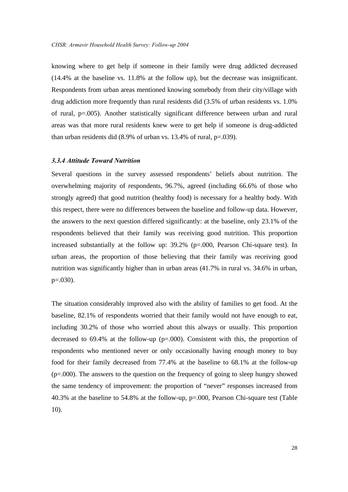knowing where to get help if someone in their family were drug addicted decreased (14.4% at the baseline vs. 11.8% at the follow up), but the decrease was insignificant. Respondents from urban areas mentioned knowing somebody from their city/village with drug addiction more frequently than rural residents did (3.5% of urban residents vs. 1.0% of rural, p=.005). Another statistically significant difference between urban and rural areas was that more rural residents knew were to get help if someone is drug-addicted than urban residents did (8.9% of urban vs. 13.4% of rural, p=.039).

#### *3.3.4 Attitude Toward Nutrition*

Several questions in the survey assessed respondents' beliefs about nutrition. The overwhelming majority of respondents, 96.7%, agreed (including 66.6% of those who strongly agreed) that good nutrition (healthy food) is necessary for a healthy body. With this respect, there were no differences between the baseline and follow-up data. However, the answers to the next question differed significantly: at the baseline, only 23.1% of the respondents believed that their family was receiving good nutrition. This proportion increased substantially at the follow up: 39.2% (p=.000, Pearson Chi-square test). In urban areas, the proportion of those believing that their family was receiving good nutrition was significantly higher than in urban areas (41.7% in rural vs. 34.6% in urban,  $p=.030$ ).

The situation considerably improved also with the ability of families to get food. At the baseline, 82.1% of respondents worried that their family would not have enough to eat, including 30.2% of those who worried about this always or usually. This proportion decreased to 69.4% at the follow-up (p=.000). Consistent with this, the proportion of respondents who mentioned never or only occasionally having enough money to buy food for their family decreased from 77.4% at the baseline to 68.1% at the follow-up (p=.000). The answers to the question on the frequency of going to sleep hungry showed the same tendency of improvement: the proportion of "never" responses increased from 40.3% at the baseline to 54.8% at the follow-up, p=.000, Pearson Chi-square test (Table 10).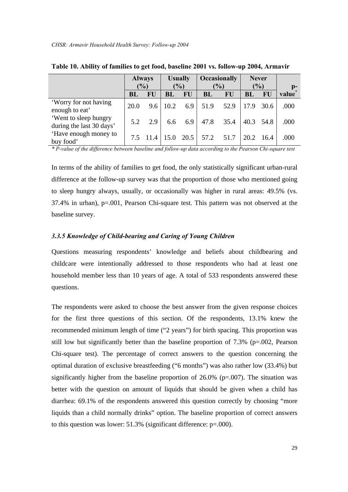|                                                   | <b>Always</b> |      | <b>Usually</b> |           | <b>Occasionally</b> |           | <b>Never</b>  |           |       |
|---------------------------------------------------|---------------|------|----------------|-----------|---------------------|-----------|---------------|-----------|-------|
|                                                   | $\frac{1}{2}$ |      | (%)            |           | (%)                 |           | $\frac{1}{2}$ |           | $p-$  |
|                                                   | BL            | FU   | BL             | FU        | BL                  | <b>FU</b> | <b>BL</b>     | <b>FU</b> | value |
| 'Worry for not having<br>enough to eat'           | 20.0          | 9.6  | 10.2           | 6.9       | 51.9                | 52.9      | 17.9          | 30.6      | .000  |
| 'Went to sleep hungry<br>during the last 30 days' | 5.2           | 2.9  | 6.6            | 6.9       | 47.8                | 35.4      | 40.3          | 54.8      | .000  |
| 'Have enough money to<br>buy food'                |               | 11.4 |                | 15.0 20.5 | 57.2                | 51.7      | 20.2          | -16.4     | .000  |

| Table 10. Ability of families to get food, baseline 2001 vs. follow-up 2004, Armavir |  |  |  |  |  |  |  |  |
|--------------------------------------------------------------------------------------|--|--|--|--|--|--|--|--|
|--------------------------------------------------------------------------------------|--|--|--|--|--|--|--|--|

*\* P-value of the difference between baseline and follow-up data according to the Pearson Chi-square test*

In terms of the ability of families to get food, the only statistically significant urban-rural difference at the follow-up survey was that the proportion of those who mentioned going to sleep hungry always, usually, or occasionally was higher in rural areas: 49.5% (vs. 37.4% in urban), p=.001, Pearson Chi-square test. This pattern was not observed at the baseline survey.

#### *3.3.5 Knowledge of Child-bearing and Caring of Young Children*

Questions measuring respondents' knowledge and beliefs about childbearing and childcare were intentionally addressed to those respondents who had at least one household member less than 10 years of age. A total of 533 respondents answered these questions.

The respondents were asked to choose the best answer from the given response choices for the first three questions of this section. Of the respondents, 13.1% knew the recommended minimum length of time ("2 years") for birth spacing. This proportion was still low but significantly better than the baseline proportion of  $7.3\%$  (p=.002, Pearson Chi-square test). The percentage of correct answers to the question concerning the optimal duration of exclusive breastfeeding ("6 months") was also rather low (33.4%) but significantly higher from the baseline proportion of  $26.0\%$  (p=.007). The situation was better with the question on amount of liquids that should be given when a child has diarrhea: 69.1% of the respondents answered this question correctly by choosing "more liquids than a child normally drinks" option. The baseline proportion of correct answers to this question was lower: 51.3% (significant difference: p=.000).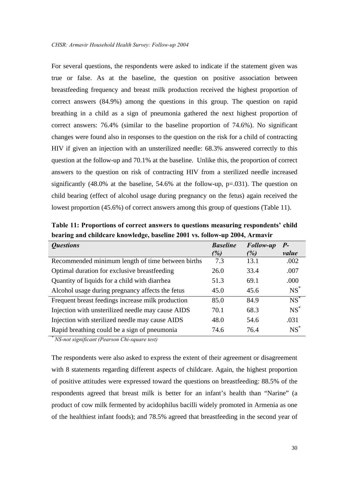For several questions, the respondents were asked to indicate if the statement given was true or false. As at the baseline, the question on positive association between breastfeeding frequency and breast milk production received the highest proportion of correct answers (84.9%) among the questions in this group. The question on rapid breathing in a child as a sign of pneumonia gathered the next highest proportion of correct answers: 76.4% (similar to the baseline proportion of 74.6%). No significant changes were found also in responses to the question on the risk for a child of contracting HIV if given an injection with an unsterilized needle: 68.3% answered correctly to this question at the follow-up and 70.1% at the baseline. Unlike this, the proportion of correct answers to the question on risk of contracting HIV from a sterilized needle increased significantly (48.0% at the baseline, 54.6% at the follow-up, p=.031). The question on child bearing (effect of alcohol usage during pregnancy on the fetus) again received the lowest proportion (45.6%) of correct answers among this group of questions (Table 11).

**Table 11: Proportions of correct answers to questions measuring respondents' child bearing and childcare knowledge, baseline 2001 vs. follow-up 2004, Armavir** 

| <i><b>Questions</b></i>                           | <b>Baseline</b> | <b>Follow-up</b> | Р-     |
|---------------------------------------------------|-----------------|------------------|--------|
|                                                   | (%)             | (%)              | value  |
| Recommended minimum length of time between births | 7.3             | 13.1             | .002   |
| Optimal duration for exclusive breastfeeding      | 26.0            | 33.4             | .007   |
| Quantity of liquids for a child with diarrhea     | 51.3            | 69.1             | .000   |
| Alcohol usage during pregnancy affects the fetus  | 45.0            | 45.6             | $NS^*$ |
| Frequent breast feedings increase milk production | 85.0            | 84.9             | $NS^*$ |
| Injection with unsterilized needle may cause AIDS | 70.1            | 68.3             | $NS^*$ |
| Injection with sterilized needle may cause AIDS   | 48.0            | 54.6             | .031   |
| Rapid breathing could be a sign of pneumonia      | 74.6            | 76.4             | $NS^*$ |

 *NS-not significant (Pearson Chi-square test)*

*\**

The respondents were also asked to express the extent of their agreement or disagreement with 8 statements regarding different aspects of childcare. Again, the highest proportion of positive attitudes were expressed toward the questions on breastfeeding: 88.5% of the respondents agreed that breast milk is better for an infant's health than "Narine" (a product of cow milk fermented by acidophilus bacilli widely promoted in Armenia as one of the healthiest infant foods); and 78.5% agreed that breastfeeding in the second year of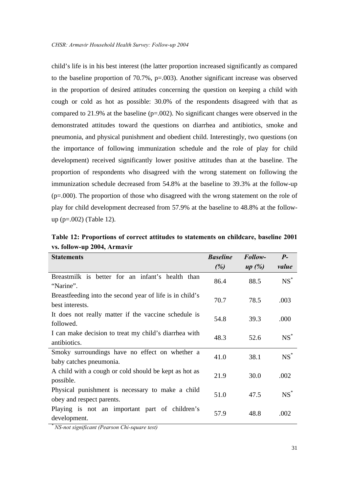child's life is in his best interest (the latter proportion increased significantly as compared to the baseline proportion of 70.7%, p=.003). Another significant increase was observed in the proportion of desired attitudes concerning the question on keeping a child with cough or cold as hot as possible: 30.0% of the respondents disagreed with that as compared to 21.9% at the baseline  $(p=.002)$ . No significant changes were observed in the demonstrated attitudes toward the questions on diarrhea and antibiotics, smoke and pneumonia, and physical punishment and obedient child. Interestingly, two questions (on the importance of following immunization schedule and the role of play for child development) received significantly lower positive attitudes than at the baseline. The proportion of respondents who disagreed with the wrong statement on following the immunization schedule decreased from 54.8% at the baseline to 39.3% at the follow-up (p=.000). The proportion of those who disagreed with the wrong statement on the role of play for child development decreased from 57.9% at the baseline to 48.8% at the followup (p=.002) (Table 12).

| vs. follow-up 2004, Armavir                                                   |                 |         |        |
|-------------------------------------------------------------------------------|-----------------|---------|--------|
| <b>Statements</b>                                                             | <b>Baseline</b> | Follow- | $P-$   |
|                                                                               | (%)             | up(%)   | value  |
| Breastmilk is better for an infant's health than<br>"Narine".                 | 86.4            | 88.5    | $NS^*$ |
| Breastfeeding into the second year of life is in child's<br>best interests.   | 70.7            | 78.5    | .003   |
| It does not really matter if the vaccine schedule is<br>followed.             | 54.8            | 39.3    | .000   |
| I can make decision to treat my child's diarrhea with<br>antibiotics.         | 48.3            | 52.6    | $NS^*$ |
| Smoky surroundings have no effect on whether a<br>baby catches pneumonia.     | 41.0            | 38.1    | $NS^*$ |
| A child with a cough or cold should be kept as hot as<br>possible.            | 21.9            | 30.0    | .002   |
| Physical punishment is necessary to make a child<br>obey and respect parents. | 51.0            | 47.5    | $NS^*$ |
| Playing is not an important part of children's<br>development.                | 57.9            | 48.8    | .002   |

**Table 12: Proportions of correct attitudes to statements on childcare, baseline 2001 vs. follow-up 2004, Armavir**

*\* NS-not significant (Pearson Chi-square test)*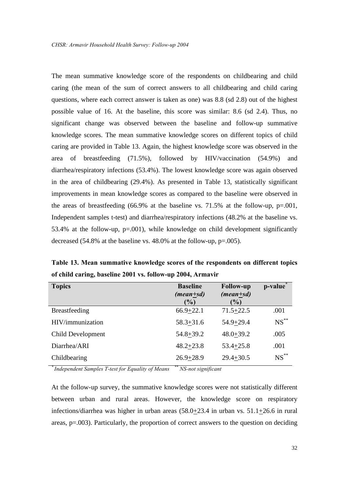The mean summative knowledge score of the respondents on childbearing and child caring (the mean of the sum of correct answers to all childbearing and child caring questions, where each correct answer is taken as one) was 8.8 (sd 2.8) out of the highest possible value of 16. At the baseline, this score was similar: 8.6 (sd 2.4). Thus, no significant change was observed between the baseline and follow-up summative knowledge scores. The mean summative knowledge scores on different topics of child caring are provided in Table 13. Again, the highest knowledge score was observed in the area of breastfeeding (71.5%), followed by HIV/vaccination (54.9%) and diarrhea/respiratory infections (53.4%). The lowest knowledge score was again observed in the area of childbearing (29.4%). As presented in Table 13, statistically significant improvements in mean knowledge scores as compared to the baseline were observed in the areas of breastfeeding (66.9% at the baseline vs. 71.5% at the follow-up, p=.001, Independent samples t-test) and diarrhea/respiratory infections (48.2% at the baseline vs. 53.4% at the follow-up, p=.001), while knowledge on child development significantly decreased (54.8% at the baseline vs. 48.0% at the follow-up, p=.005).

**Table 13. Mean summative knowledge scores of the respondents on different topics of child caring, baseline 2001 vs. follow-up 2004, Armavir** 

| <b>Topics</b>        | <b>Baseline</b><br>$(mean \pm sd)$<br>(%) | <b>Follow-up</b><br>$(mean \pm sd)$<br>$($ %) | p-value <sup>*</sup> |
|----------------------|-------------------------------------------|-----------------------------------------------|----------------------|
| <b>Breastfeeding</b> | $66.9 + 22.1$                             | $71.5 + 22.5$                                 | .001                 |
| HIV/immunization     | $58.3 + 31.6$                             | $54.9 + 29.4$                                 | $NS$ **              |
| Child Development    | $54.8 + 39.2$                             | $48.0 + 39.2$                                 | .005                 |
| Diarrhea/ARI         | $48.2 + 23.8$                             | $53.4 + 25.8$                                 | .001                 |
| Childbearing         | $26.9 + 28.9$                             | $29.4 + 30.5$                                 | $NS$ **              |

*\* Independent Samples T-test for Equality of Means \*\* NS-not significant*

At the follow-up survey, the summative knowledge scores were not statistically different between urban and rural areas. However, the knowledge score on respiratory infections/diarrhea was higher in urban areas (58.0+23.4 in urban vs. 51.1+26.6 in rural areas, p=.003). Particularly, the proportion of correct answers to the question on deciding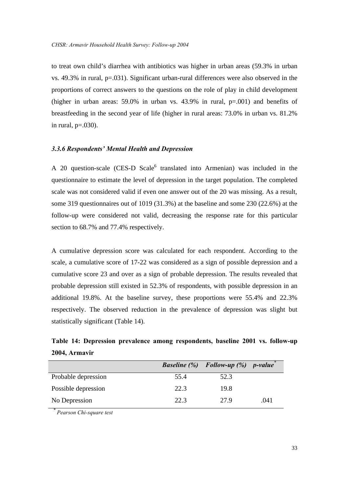to treat own child's diarrhea with antibiotics was higher in urban areas (59.3% in urban vs. 49.3% in rural, p=.031). Significant urban-rural differences were also observed in the proportions of correct answers to the questions on the role of play in child development (higher in urban areas:  $59.0\%$  in urban vs.  $43.9\%$  in rural,  $p=0.001$ ) and benefits of breastfeeding in the second year of life (higher in rural areas: 73.0% in urban vs. 81.2% in rural,  $p=.030$ ).

#### *3.3.6 Respondents' Mental Health and Depression*

A 20 question-scale (CES-D Scale<sup>6</sup> translated into Armenian) was included in the questionnaire to estimate the level of depression in the target population. The completed scale was not considered valid if even one answer out of the 20 was missing. As a result, some 319 questionnaires out of 1019 (31.3%) at the baseline and some 230 (22.6%) at the follow-up were considered not valid, decreasing the response rate for this particular section to 68.7% and 77.4% respectively.

A cumulative depression score was calculated for each respondent. According to the scale, a cumulative score of 17-22 was considered as a sign of possible depression and a cumulative score 23 and over as a sign of probable depression. The results revealed that probable depression still existed in 52.3% of respondents, with possible depression in an additional 19.8%. At the baseline survey, these proportions were 55.4% and 22.3% respectively. The observed reduction in the prevalence of depression was slight but statistically significant (Table 14).

**Table 14: Depression prevalence among respondents, baseline 2001 vs. follow-up 2004, Armavir**

|                     |      | <b>Baseline</b> $(\%)$ Follow-up $(\%)$ p-value |      |
|---------------------|------|-------------------------------------------------|------|
| Probable depression | 55.4 | 52.3                                            |      |
| Possible depression | 22.3 | 19.8                                            |      |
| No Depression       | 22.3 | 27.9                                            | .041 |

 *Pearson Chi-square test*

*\**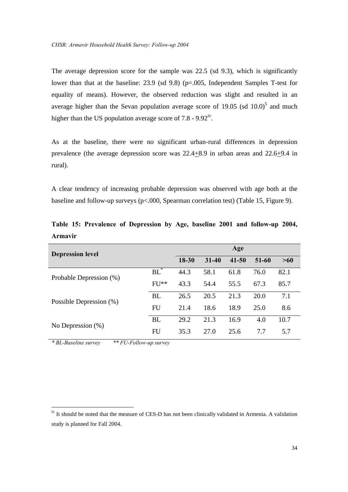The average depression score for the sample was 22.5 (sd 9.3), which is significantly lower than that at the baseline: 23.9 (sd 9.8) (p=.005, Independent Samples T-test for equality of means). However, the observed reduction was slight and resulted in an average higher than the Sevan population average score of 19.05 (sd  $10.0$ )<sup>5</sup> and much higher than the US population average score of  $7.8 - 9.92$ <sup>iv</sup>.

As at the baseline, there were no significant urban-rural differences in depression prevalence (the average depression score was  $22.4 \pm 8.9$  in urban areas and  $22.6 \pm 9.4$  in rural).

A clear tendency of increasing probable depression was observed with age both at the baseline and follow-up surveys (p<.000, Spearman correlation test) (Table 15, Figure 9).

| <b>Depression level</b> | Age       |           |           |       |      |      |
|-------------------------|-----------|-----------|-----------|-------|------|------|
|                         | 18-30     | $31 - 40$ | $41 - 50$ | 51-60 | >60  |      |
| Probable Depression (%) | $BL^*$    | 44.3      | 58.1      | 61.8  | 76.0 | 82.1 |
|                         | $FU**$    | 43.3      | 54.4      | 55.5  | 67.3 | 85.7 |
|                         | <b>BL</b> | 26.5      | 20.5      | 21.3  | 20.0 | 7.1  |
| Possible Depression (%) | FU        | 21.4      | 18.6      | 18.9  | 25.0 | 8.6  |
| No Depression $(\%)$    | <b>BL</b> | 29.2      | 21.3      | 16.9  | 4.0  | 10.7 |
|                         | FU        | 35.3      | 27.0      | 25.6  | 7.7  | 5.7  |

**Table 15: Prevalence of Depression by Age, baseline 2001 and follow-up 2004, Armavir**

*\* BL-Baseline survey \*\* FU-Follow-up survey*

1

<sup>&</sup>lt;sup>iv</sup> It should be noted that the measure of CES-D has not been clinically validated in Armenia. A validation study is planned for Fall 2004.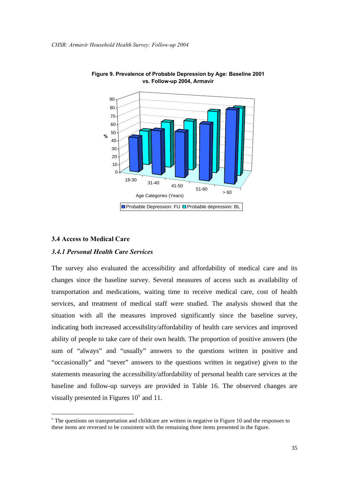



#### **3.4 Access to Medical Care**

1

#### *3.4.1 Personal Health Care Services*

The survey also evaluated the accessibility and affordability of medical care and its changes since the baseline survey. Several measures of access such as availability of transportation and medications, waiting time to receive medical care, cost of health services, and treatment of medical staff were studied. The analysis showed that the situation with all the measures improved significantly since the baseline survey, indicating both increased accessibility/affordability of health care services and improved ability of people to take care of their own health. The proportion of positive answers (the sum of "always" and "usually" answers to the questions written in positive and "occasionally" and "never" answers to the questions written in negative) given to the statements measuring the accessibility/affordability of personal health care services at the baseline and follow-up surveys are provided in Table 16. The observed changes are visually presented in Figures  $10^{\circ}$  and 11.

 $\theta$ <sup>v</sup> The questions on transportation and childcare are written in negative in Figure 10 and the responses to these items are reversed to be consistent with the remaining three items presented in the figure.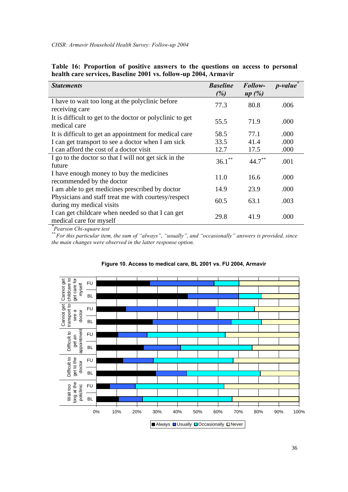*CHSR: Armavir Household Health Survey: Follow-up 2004* 

| <b>Statements</b>                                         | <b>Baseline</b><br>(%) | Follow-<br>up(%) | $p$ -value |
|-----------------------------------------------------------|------------------------|------------------|------------|
|                                                           |                        |                  |            |
| I have to wait too long at the polyclinic before          | 77.3                   | 80.8             | .006       |
| receiving care                                            |                        |                  |            |
| It is difficult to get to the doctor or polyclinic to get | 55.5                   | 71.9             | .000       |
| medical care                                              |                        |                  |            |
| It is difficult to get an appointment for medical care    | 58.5                   | 77.1             | .000       |
| I can get transport to see a doctor when I am sick        | 33.5                   | 41.4             | .000       |
| I can afford the cost of a doctor visit                   | 12.7                   | 17.5             | .000       |
| I go to the doctor so that I will not get sick in the     | $36.1***$              | $44.7***$        |            |
| future                                                    |                        |                  | .001       |
| I have enough money to buy the medicines                  |                        |                  |            |
| recommended by the doctor                                 | 11.0                   | 16.6             | .000       |
| I am able to get medicines prescribed by doctor           | 14.9                   | 23.9             | .000       |
| Physicians and staff treat me with courtesy/respect       |                        |                  |            |
| during my medical visits                                  | 60.5                   | 63.1             | .003       |
| I can get childcare when needed so that I can get         |                        |                  |            |
| medical care for myself                                   | 29.8                   | 41.9             | .000       |
| Pearson Chi-square test                                   |                        |                  |            |

|  |  |  |  | Table 16: Proportion of positive answers to the questions on access to personal |  |  |
|--|--|--|--|---------------------------------------------------------------------------------|--|--|
|  |  |  |  | health care services, Baseline 2001 vs. follow-up 2004, Armavir                 |  |  |

*\*\* For this particular item, the sum of "always", "usually", and "occasionally" answers is provided, since the main changes were observed in the latter response option.*



#### **Figure 10. Access to medical care, BL 2001 vs. FU 2004, Armavir**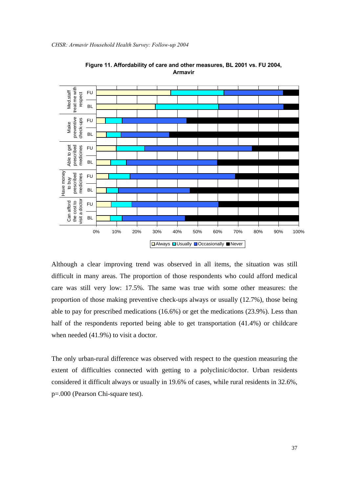

**Figure 11. Affordability of care and other measures, BL 2001 vs. FU 2004, Armavir**

Although a clear improving trend was observed in all items, the situation was still difficult in many areas. The proportion of those respondents who could afford medical care was still very low: 17.5%. The same was true with some other measures: the proportion of those making preventive check-ups always or usually (12.7%), those being able to pay for prescribed medications (16.6%) or get the medications (23.9%). Less than half of the respondents reported being able to get transportation (41.4%) or childcare when needed (41.9%) to visit a doctor.

The only urban-rural difference was observed with respect to the question measuring the extent of difficulties connected with getting to a polyclinic/doctor. Urban residents considered it difficult always or usually in 19.6% of cases, while rural residents in 32.6%, p=.000 (Pearson Chi-square test).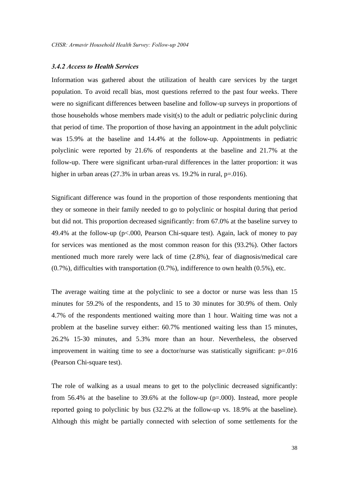#### *3.4.2 Access to Health Services*

Information was gathered about the utilization of health care services by the target population. To avoid recall bias, most questions referred to the past four weeks. There were no significant differences between baseline and follow-up surveys in proportions of those households whose members made visit(s) to the adult or pediatric polyclinic during that period of time. The proportion of those having an appointment in the adult polyclinic was 15.9% at the baseline and 14.4% at the follow-up. Appointments in pediatric polyclinic were reported by 21.6% of respondents at the baseline and 21.7% at the follow-up. There were significant urban-rural differences in the latter proportion: it was higher in urban areas (27.3% in urban areas vs. 19.2% in rural, p=.016).

Significant difference was found in the proportion of those respondents mentioning that they or someone in their family needed to go to polyclinic or hospital during that period but did not. This proportion decreased significantly: from 67.0% at the baseline survey to 49.4% at the follow-up (p<.000, Pearson Chi-square test). Again, lack of money to pay for services was mentioned as the most common reason for this (93.2%). Other factors mentioned much more rarely were lack of time (2.8%), fear of diagnosis/medical care (0.7%), difficulties with transportation (0.7%), indifference to own health (0.5%), etc.

The average waiting time at the polyclinic to see a doctor or nurse was less than 15 minutes for 59.2% of the respondents, and 15 to 30 minutes for 30.9% of them. Only 4.7% of the respondents mentioned waiting more than 1 hour. Waiting time was not a problem at the baseline survey either: 60.7% mentioned waiting less than 15 minutes, 26.2% 15-30 minutes, and 5.3% more than an hour. Nevertheless, the observed improvement in waiting time to see a doctor/nurse was statistically significant: p=.016 (Pearson Chi-square test).

The role of walking as a usual means to get to the polyclinic decreased significantly: from 56.4% at the baseline to 39.6% at the follow-up (p=.000). Instead, more people reported going to polyclinic by bus (32.2% at the follow-up vs. 18.9% at the baseline). Although this might be partially connected with selection of some settlements for the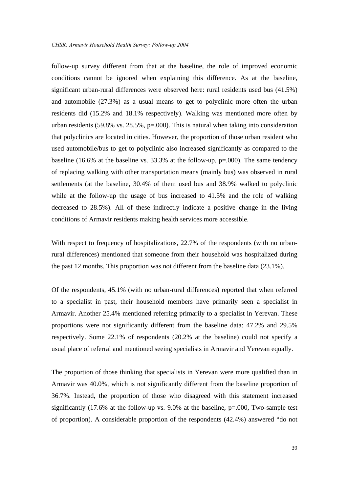follow-up survey different from that at the baseline, the role of improved economic conditions cannot be ignored when explaining this difference. As at the baseline, significant urban-rural differences were observed here: rural residents used bus (41.5%) and automobile (27.3%) as a usual means to get to polyclinic more often the urban residents did (15.2% and 18.1% respectively). Walking was mentioned more often by urban residents (59.8% vs. 28.5%,  $p=0.00$ ). This is natural when taking into consideration that polyclinics are located in cities. However, the proportion of those urban resident who used automobile/bus to get to polyclinic also increased significantly as compared to the baseline (16.6% at the baseline vs. 33.3% at the follow-up,  $p=0.000$ ). The same tendency of replacing walking with other transportation means (mainly bus) was observed in rural settlements (at the baseline, 30.4% of them used bus and 38.9% walked to polyclinic while at the follow-up the usage of bus increased to 41.5% and the role of walking decreased to 28.5%). All of these indirectly indicate a positive change in the living conditions of Armavir residents making health services more accessible.

With respect to frequency of hospitalizations, 22.7% of the respondents (with no urbanrural differences) mentioned that someone from their household was hospitalized during the past 12 months. This proportion was not different from the baseline data (23.1%).

Of the respondents, 45.1% (with no urban-rural differences) reported that when referred to a specialist in past, their household members have primarily seen a specialist in Armavir. Another 25.4% mentioned referring primarily to a specialist in Yerevan. These proportions were not significantly different from the baseline data: 47.2% and 29.5% respectively. Some 22.1% of respondents (20.2% at the baseline) could not specify a usual place of referral and mentioned seeing specialists in Armavir and Yerevan equally.

The proportion of those thinking that specialists in Yerevan were more qualified than in Armavir was 40.0%, which is not significantly different from the baseline proportion of 36.7%. Instead, the proportion of those who disagreed with this statement increased significantly (17.6% at the follow-up vs. 9.0% at the baseline, p=.000, Two-sample test of proportion). A considerable proportion of the respondents (42.4%) answered "do not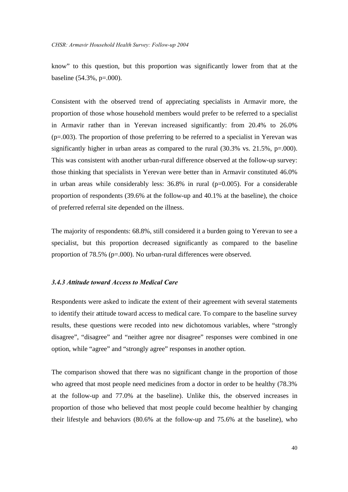know" to this question, but this proportion was significantly lower from that at the baseline (54.3%, p=.000).

Consistent with the observed trend of appreciating specialists in Armavir more, the proportion of those whose household members would prefer to be referred to a specialist in Armavir rather than in Yerevan increased significantly: from 20.4% to 26.0% (p=.003). The proportion of those preferring to be referred to a specialist in Yerevan was significantly higher in urban areas as compared to the rural  $(30.3\% \text{ vs. } 21.5\%, \text{ p} = .000)$ . This was consistent with another urban-rural difference observed at the follow-up survey: those thinking that specialists in Yerevan were better than in Armavir constituted 46.0% in urban areas while considerably less: 36.8% in rural (p=0.005). For a considerable proportion of respondents (39.6% at the follow-up and 40.1% at the baseline), the choice of preferred referral site depended on the illness.

The majority of respondents: 68.8%, still considered it a burden going to Yerevan to see a specialist, but this proportion decreased significantly as compared to the baseline proportion of 78.5% (p=.000). No urban-rural differences were observed.

#### *3.4.3 Attitude toward Access to Medical Care*

Respondents were asked to indicate the extent of their agreement with several statements to identify their attitude toward access to medical care. To compare to the baseline survey results, these questions were recoded into new dichotomous variables, where "strongly disagree", "disagree" and "neither agree nor disagree" responses were combined in one option, while "agree" and "strongly agree" responses in another option.

The comparison showed that there was no significant change in the proportion of those who agreed that most people need medicines from a doctor in order to be healthy (78.3% at the follow-up and 77.0% at the baseline). Unlike this, the observed increases in proportion of those who believed that most people could become healthier by changing their lifestyle and behaviors (80.6% at the follow-up and 75.6% at the baseline), who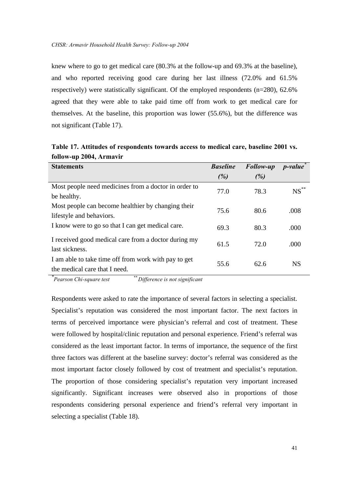knew where to go to get medical care (80.3% at the follow-up and 69.3% at the baseline), and who reported receiving good care during her last illness (72.0% and 61.5% respectively) were statistically significant. Of the employed respondents (n=280), 62.6% agreed that they were able to take paid time off from work to get medical care for themselves. At the baseline, this proportion was lower (55.6%), but the difference was not significant (Table 17).

| <b>Statements</b>                                    | <b>Baseline</b> |                  | $p$ -value |
|------------------------------------------------------|-----------------|------------------|------------|
|                                                      |                 | <b>Follow-up</b> |            |
|                                                      | (%)             | (%)              |            |
| Most people need medicines from a doctor in order to |                 | 78.3             | $NS$ **    |
| be healthy.                                          | 77.0            |                  |            |
| Most people can become healthier by changing their   |                 |                  |            |
| lifestyle and behaviors.                             | 75.6            | 80.6             | .008       |
| I know were to go so that I can get medical care.    | 69.3            | 80.3             | .000       |
|                                                      |                 |                  |            |
| I received good medical care from a doctor during my | 61.5            | 72.0             | .000       |
| last sickness.                                       |                 |                  |            |
| I am able to take time off from work with pay to get |                 |                  |            |
| the medical care that I need.                        | 55.6            | 62.6             | <b>NS</b>  |

**Table 17. Attitudes of respondents towards access to medical care, baseline 2001 vs. follow-up 2004, Armavir**

*\**

*Pearson Chi-square test \*\* Difference is not significant*

Respondents were asked to rate the importance of several factors in selecting a specialist. Specialist's reputation was considered the most important factor. The next factors in terms of perceived importance were physician's referral and cost of treatment. These were followed by hospital/clinic reputation and personal experience. Friend's referral was considered as the least important factor. In terms of importance, the sequence of the first three factors was different at the baseline survey: doctor's referral was considered as the most important factor closely followed by cost of treatment and specialist's reputation. The proportion of those considering specialist's reputation very important increased significantly. Significant increases were observed also in proportions of those respondents considering personal experience and friend's referral very important in selecting a specialist (Table 18).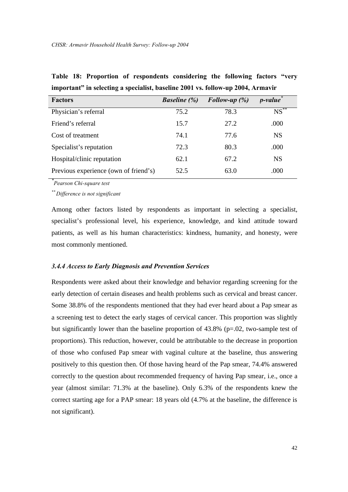| <b>Factors</b>                        | <i>Baseline</i> $(\%)$ | Follow-up $(\%)$ | <i>p-value</i> |
|---------------------------------------|------------------------|------------------|----------------|
| Physician's referral                  | 75.2                   | 78.3             | $NS***$        |
| Friend's referral                     | 15.7                   | 27.2             | .000           |
| Cost of treatment                     | 74.1                   | 77.6             | <b>NS</b>      |
| Specialist's reputation               | 72.3                   | 80.3             | .000           |
| Hospital/clinic reputation            | 62.1                   | 67.2             | <b>NS</b>      |
| Previous experience (own of friend's) | 52.5                   | 63.0             | .000           |

**Table 18: Proportion of respondents considering the following factors "very important" in selecting a specialist, baseline 2001 vs. follow-up 2004, Armavir**

*\* Pearson Chi-square test*

*\*\* Difference is not significant*

Among other factors listed by respondents as important in selecting a specialist, specialist's professional level, his experience, knowledge, and kind attitude toward patients, as well as his human characteristics: kindness, humanity, and honesty, were most commonly mentioned.

#### *3.4.4 Access to Early Diagnosis and Prevention Services*

Respondents were asked about their knowledge and behavior regarding screening for the early detection of certain diseases and health problems such as cervical and breast cancer. Some 38.8% of the respondents mentioned that they had ever heard about a Pap smear as a screening test to detect the early stages of cervical cancer. This proportion was slightly but significantly lower than the baseline proportion of 43.8% (p=.02, two-sample test of proportions). This reduction, however, could be attributable to the decrease in proportion of those who confused Pap smear with vaginal culture at the baseline, thus answering positively to this question then. Of those having heard of the Pap smear, 74.4% answered correctly to the question about recommended frequency of having Pap smear, i.e., once a year (almost similar: 71.3% at the baseline). Only 6.3% of the respondents knew the correct starting age for a PAP smear: 18 years old (4.7% at the baseline, the difference is not significant).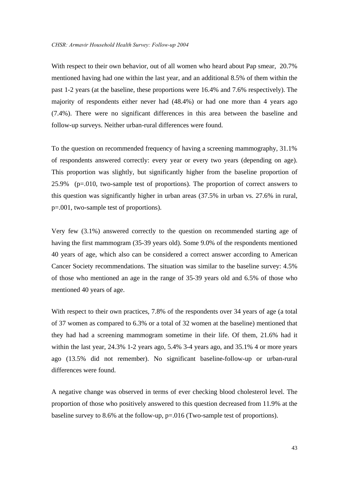With respect to their own behavior, out of all women who heard about Pap smear, 20.7% mentioned having had one within the last year, and an additional 8.5% of them within the past 1-2 years (at the baseline, these proportions were 16.4% and 7.6% respectively). The majority of respondents either never had (48.4%) or had one more than 4 years ago (7.4%). There were no significant differences in this area between the baseline and follow-up surveys. Neither urban-rural differences were found.

To the question on recommended frequency of having a screening mammography, 31.1% of respondents answered correctly: every year or every two years (depending on age). This proportion was slightly, but significantly higher from the baseline proportion of 25.9% (p=.010, two-sample test of proportions). The proportion of correct answers to this question was significantly higher in urban areas (37.5% in urban vs. 27.6% in rural, p=.001, two-sample test of proportions).

Very few (3.1%) answered correctly to the question on recommended starting age of having the first mammogram (35-39 years old). Some 9.0% of the respondents mentioned 40 years of age, which also can be considered a correct answer according to American Cancer Society recommendations. The situation was similar to the baseline survey: 4.5% of those who mentioned an age in the range of 35-39 years old and 6.5% of those who mentioned 40 years of age.

With respect to their own practices, 7.8% of the respondents over 34 years of age (a total of 37 women as compared to 6.3% or a total of 32 women at the baseline) mentioned that they had had a screening mammogram sometime in their life. Of them, 21.6% had it within the last year, 24.3% 1-2 years ago, 5.4% 3-4 years ago, and 35.1% 4 or more years ago (13.5% did not remember). No significant baseline-follow-up or urban-rural differences were found.

A negative change was observed in terms of ever checking blood cholesterol level. The proportion of those who positively answered to this question decreased from 11.9% at the baseline survey to 8.6% at the follow-up, p=.016 (Two-sample test of proportions).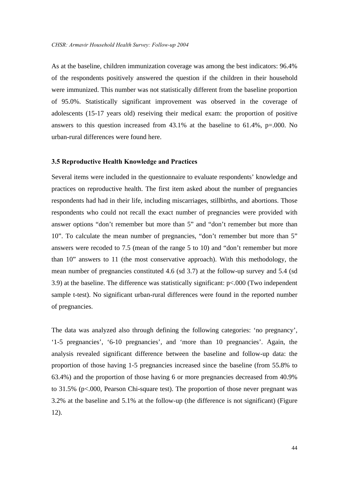As at the baseline, children immunization coverage was among the best indicators: 96.4% of the respondents positively answered the question if the children in their household were immunized. This number was not statistically different from the baseline proportion of 95.0%. Statistically significant improvement was observed in the coverage of adolescents (15-17 years old) reseiving their medical exam: the proportion of positive answers to this question increased from  $43.1\%$  at the baseline to  $61.4\%$ , p=.000. No urban-rural differences were found here.

#### **3.5 Reproductive Health Knowledge and Practices**

Several items were included in the questionnaire to evaluate respondents' knowledge and practices on reproductive health. The first item asked about the number of pregnancies respondents had had in their life, including miscarriages, stillbirths, and abortions. Those respondents who could not recall the exact number of pregnancies were provided with answer options "don't remember but more than 5" and "don't remember but more than 10". To calculate the mean number of pregnancies, "don't remember but more than 5" answers were recoded to 7.5 (mean of the range 5 to 10) and "don't remember but more than 10" answers to 11 (the most conservative approach). With this methodology, the mean number of pregnancies constituted 4.6 (sd 3.7) at the follow-up survey and 5.4 (sd 3.9) at the baseline. The difference was statistically significant: p<.000 (Two independent sample t-test). No significant urban-rural differences were found in the reported number of pregnancies.

The data was analyzed also through defining the following categories: 'no pregnancy', '1-5 pregnancies', '6-10 pregnancies', and 'more than 10 pregnancies'. Again, the analysis revealed significant difference between the baseline and follow-up data: the proportion of those having 1-5 pregnancies increased since the baseline (from 55.8% to 63.4%) and the proportion of those having 6 or more pregnancies decreased from 40.9% to 31.5% (p<.000, Pearson Chi-square test). The proportion of those never pregnant was 3.2% at the baseline and 5.1% at the follow-up (the difference is not significant) (Figure 12).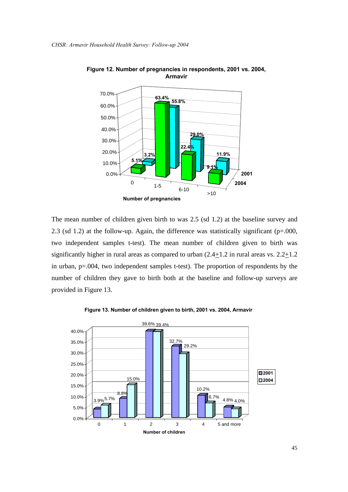

**Figure 12. Number of pregnancies in respondents, 2001 vs. 2004, Armavir**

The mean number of children given birth to was 2.5 (sd 1.2) at the baseline survey and 2.3 (sd 1.2) at the follow-up. Again, the difference was statistically significant (p=.000, two independent samples t-test). The mean number of children given to birth was significantly higher in rural areas as compared to urban  $(2.4+1.2$  in rural areas vs.  $2.2+1.2$ in urban, p=.004, two independent samples t-test). The proportion of respondents by the number of children they gave to birth both at the baseline and follow-up surveys are provided in Figure 13.



**Figure 13. Number of children given to birth, 2001 vs. 2004, Armavir**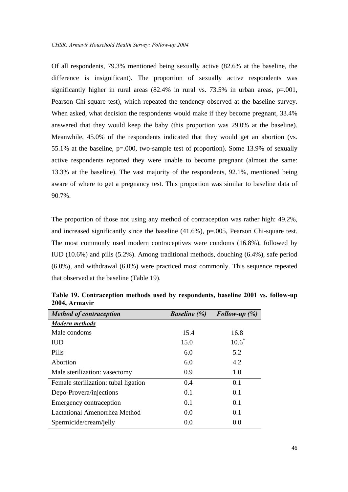Of all respondents, 79.3% mentioned being sexually active (82.6% at the baseline, the difference is insignificant). The proportion of sexually active respondents was significantly higher in rural areas  $(82.4\%$  in rural vs. 73.5% in urban areas, p=.001, Pearson Chi-square test), which repeated the tendency observed at the baseline survey. When asked, what decision the respondents would make if they become pregnant, 33.4% answered that they would keep the baby (this proportion was 29.0% at the baseline). Meanwhile, 45.0% of the respondents indicated that they would get an abortion (vs. 55.1% at the baseline, p=.000, two-sample test of proportion). Some 13.9% of sexually active respondents reported they were unable to become pregnant (almost the same: 13.3% at the baseline). The vast majority of the respondents, 92.1%, mentioned being aware of where to get a pregnancy test. This proportion was similar to baseline data of 90.7%.

The proportion of those not using any method of contraception was rather high: 49.2%, and increased significantly since the baseline  $(41.6\%)$ , p=.005, Pearson Chi-square test. The most commonly used modern contraceptives were condoms (16.8%), followed by IUD (10.6%) and pills (5.2%). Among traditional methods, douching (6.4%), safe period (6.0%), and withdrawal (6.0%) were practiced most commonly. This sequence repeated that observed at the baseline (Table 19).

| <b>Method of contraception</b>       | <i>Baseline</i> $(\%)$ | Follow-up $(\%)$ |
|--------------------------------------|------------------------|------------------|
| <b>Modern methods</b>                |                        |                  |
| Male condoms                         | 15.4                   | 16.8             |
| <b>IUD</b>                           | 15.0                   | $10.6^*$         |
| <b>Pills</b>                         | 6.0                    | 5.2              |
| Abortion                             | 6.0                    | 4.2              |
| Male sterilization: vasectomy        | 0.9                    | 1.0              |
| Female sterilization: tubal ligation | 0.4                    | 0.1              |
| Depo-Provera/injections              | 0.1                    | 0.1              |
| <b>Emergency contraception</b>       | 0.1                    | 0.1              |
| Lactational Amenorrhea Method        | 0.0                    | 0.1              |
| Spermicide/cream/jelly               | 0.0                    | 0.0              |

**Table 19. Contraception methods used by respondents, baseline 2001 vs. follow-up 2004, Armavir**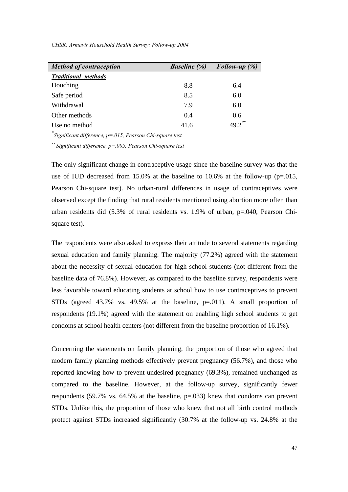| <b>Method of contraception</b> | <b>Baseline</b> (%) | Follow-up $(\%)$     |
|--------------------------------|---------------------|----------------------|
| <b>Traditional methods</b>     |                     |                      |
| Douching                       | 8.8                 | 6.4                  |
| Safe period                    | 8.5                 | 6.0                  |
| Withdrawal                     | 7.9                 | 6.0                  |
| Other methods                  | 0.4                 | 0.6                  |
| Use no method                  | 41.6                | $49.2$ <sup>**</sup> |

*CHSR: Armavir Household Health Survey: Follow-up 2004* 

*\* Significant difference, p=.015, Pearson Chi-square test*

*\*\* Significant difference, p=.005, Pearson Chi-square test*

The only significant change in contraceptive usage since the baseline survey was that the use of IUD decreased from 15.0% at the baseline to 10.6% at the follow-up ( $p=.015$ , Pearson Chi-square test). No urban-rural differences in usage of contraceptives were observed except the finding that rural residents mentioned using abortion more often than urban residents did (5.3% of rural residents vs. 1.9% of urban, p=.040, Pearson Chisquare test).

The respondents were also asked to express their attitude to several statements regarding sexual education and family planning. The majority (77.2%) agreed with the statement about the necessity of sexual education for high school students (not different from the baseline data of 76.8%). However, as compared to the baseline survey, respondents were less favorable toward educating students at school how to use contraceptives to prevent STDs (agreed 43.7% vs. 49.5% at the baseline, p=.011). A small proportion of respondents (19.1%) agreed with the statement on enabling high school students to get condoms at school health centers (not different from the baseline proportion of 16.1%).

Concerning the statements on family planning, the proportion of those who agreed that modern family planning methods effectively prevent pregnancy (56.7%), and those who reported knowing how to prevent undesired pregnancy (69.3%), remained unchanged as compared to the baseline. However, at the follow-up survey, significantly fewer respondents (59.7% vs. 64.5% at the baseline, p=.033) knew that condoms can prevent STDs. Unlike this, the proportion of those who knew that not all birth control methods protect against STDs increased significantly (30.7% at the follow-up vs. 24.8% at the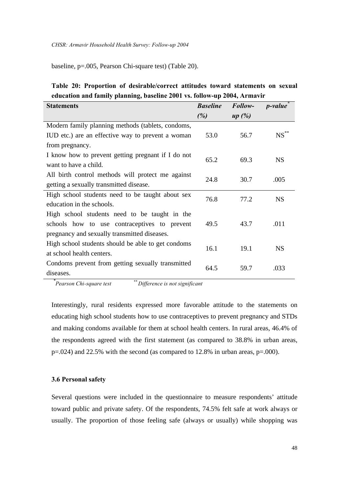baseline, p=.005, Pearson Chi-square test) (Table 20).

# **Table 20: Proportion of desirable/correct attitudes toward statements on sexual education and family planning, baseline 2001 vs. follow-up 2004, Armavir**

| <b>Statements</b>                                  | <b>Baseline</b> | Follow- | <i>p</i> -value    |  |
|----------------------------------------------------|-----------------|---------|--------------------|--|
|                                                    | (%)             | up(%)   |                    |  |
| Modern family planning methods (tablets, condoms,  |                 |         |                    |  |
| IUD etc.) are an effective way to prevent a woman  | 53.0            | 56.7    | $\mathrm{NS}^{**}$ |  |
| from pregnancy.                                    |                 |         |                    |  |
| I know how to prevent getting pregnant if I do not | 65.2            | 69.3    |                    |  |
| want to have a child.                              |                 |         | <b>NS</b>          |  |
| All birth control methods will protect me against  | 24.8            | 30.7    | .005               |  |
| getting a sexually transmitted disease.            |                 |         |                    |  |
| High school students need to be taught about sex   | 76.8            | 77.2    | <b>NS</b>          |  |
| education in the schools.                          |                 |         |                    |  |
| High school students need to be taught in the      |                 |         |                    |  |
| schools how to use contraceptives to prevent       | 49.5            | 43.7    | .011               |  |
| pregnancy and sexually transmitted diseases.       |                 |         |                    |  |
| High school students should be able to get condoms | 16.1            | 19.1    | <b>NS</b>          |  |
| at school health centers.                          |                 |         |                    |  |
| Condoms prevent from getting sexually transmitted  | 64.5            | 59.7    | .033               |  |
| diseases.                                          |                 |         |                    |  |

*\**

*Pearson Chi-square test \*\* Difference is not significant*

Interestingly, rural residents expressed more favorable attitude to the statements on educating high school students how to use contraceptives to prevent pregnancy and STDs and making condoms available for them at school health centers. In rural areas, 46.4% of the respondents agreed with the first statement (as compared to 38.8% in urban areas,  $p=.024$ ) and 22.5% with the second (as compared to 12.8% in urban areas,  $p=.000$ ).

#### **3.6 Personal safety**

Several questions were included in the questionnaire to measure respondents' attitude toward public and private safety. Of the respondents, 74.5% felt safe at work always or usually. The proportion of those feeling safe (always or usually) while shopping was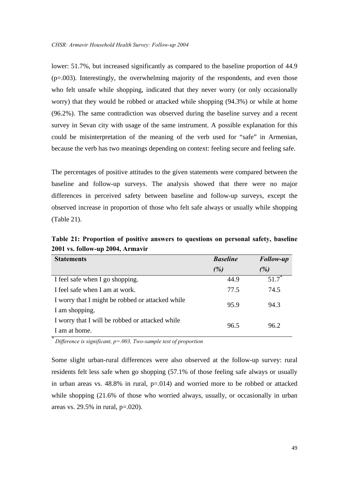lower: 51.7%, but increased significantly as compared to the baseline proportion of 44.9 (p=.003). Interestingly, the overwhelming majority of the respondents, and even those who felt unsafe while shopping, indicated that they never worry (or only occasionally worry) that they would be robbed or attacked while shopping (94.3%) or while at home (96.2%). The same contradiction was observed during the baseline survey and a recent survey in Sevan city with usage of the same instrument. A possible explanation for this could be misinterpretation of the meaning of the verb used for "safe" in Armenian, because the verb has two meanings depending on context: feeling secure and feeling safe.

The percentages of positive attitudes to the given statements were compared between the baseline and follow-up surveys. The analysis showed that there were no major differences in perceived safety between baseline and follow-up surveys, except the observed increase in proportion of those who felt safe always or usually while shopping (Table 21).

**Table 21: Proportion of positive answers to questions on personal safety, baseline 2001 vs. follow-up 2004, Armavir**

| <b>Statements</b>                                | <b>Baseline</b> | <b>Follow-up</b> |  |
|--------------------------------------------------|-----------------|------------------|--|
|                                                  | (%)             | (%)              |  |
| I feel safe when I go shopping.                  | 44.9            | $51.7^*$         |  |
| I feel safe when I am at work.                   | 77.5            | 74.5             |  |
| I worry that I might be robbed or attacked while | 95.9            |                  |  |
| I am shopping.                                   |                 | 94.3             |  |
| I worry that I will be robbed or attacked while  |                 |                  |  |
| I am at home.                                    | 96.5            | 96.2             |  |

*\* Difference is significant, p=.003, Two-sample test of proportion*

Some slight urban-rural differences were also observed at the follow-up survey: rural residents felt less safe when go shopping (57.1% of those feeling safe always or usually in urban areas vs.  $48.8\%$  in rural,  $p=.014$ ) and worried more to be robbed or attacked while shopping  $(21.6\%$  of those who worried always, usually, or occasionally in urban areas vs. 29.5% in rural, p=.020).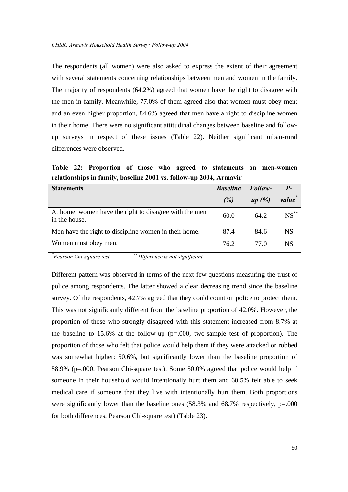The respondents (all women) were also asked to express the extent of their agreement with several statements concerning relationships between men and women in the family. The majority of respondents (64.2%) agreed that women have the right to disagree with the men in family. Meanwhile, 77.0% of them agreed also that women must obey men; and an even higher proportion, 84.6% agreed that men have a right to discipline women in their home. There were no significant attitudinal changes between baseline and followup surveys in respect of these issues (Table 22). Neither significant urban-rural differences were observed.

**Table 22: Proportion of those who agreed to statements on men-women relationships in family, baseline 2001 vs. follow-up 2004, Armavir**

| <b>Statements</b>                                                       | <b>Baseline</b> | <b>Follow-</b> | $P_{-}$   |
|-------------------------------------------------------------------------|-----------------|----------------|-----------|
|                                                                         | (%)             | up $(\%)$      | value     |
| At home, women have the right to disagree with the men<br>in the house. | 60.0            | 64.2           | $NS$ **   |
| Men have the right to discipline women in their home.                   | 87.4            | 84.6           | NS.       |
| Women must obey men.                                                    | 76.2            | 77.O           | <b>NS</b> |

*\* Pearson Chi-square test \*\* Difference is not significant*

Different pattern was observed in terms of the next few questions measuring the trust of police among respondents. The latter showed a clear decreasing trend since the baseline survey. Of the respondents, 42.7% agreed that they could count on police to protect them. This was not significantly different from the baseline proportion of 42.0%. However, the proportion of those who strongly disagreed with this statement increased from 8.7% at the baseline to 15.6% at the follow-up (p=.000, two-sample test of proportion). The proportion of those who felt that police would help them if they were attacked or robbed was somewhat higher: 50.6%, but significantly lower than the baseline proportion of 58.9% (p=.000, Pearson Chi-square test). Some 50.0% agreed that police would help if someone in their household would intentionally hurt them and 60.5% felt able to seek medical care if someone that they live with intentionally hurt them. Both proportions were significantly lower than the baseline ones  $(58.3\%$  and  $68.7\%$  respectively,  $p=0.000$ for both differences, Pearson Chi-square test) (Table 23).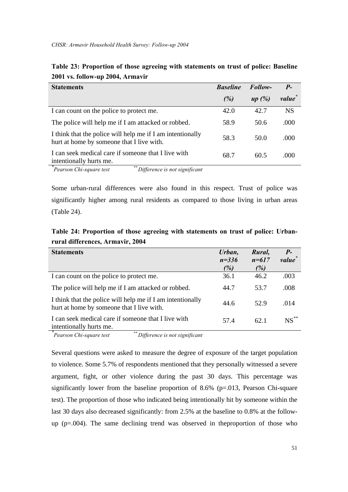| <b>Statements</b>                                                                                       | <b>Baseline</b> | Follow- | $P_{-}$   |
|---------------------------------------------------------------------------------------------------------|-----------------|---------|-----------|
|                                                                                                         | (%)             | up(%)   | value     |
| I can count on the police to protect me.                                                                | 42.0            | 42.7    | <b>NS</b> |
| The police will help me if I am attacked or robbed.                                                     | 58.9            | 50.6    | .000      |
| I think that the police will help me if I am intentionally<br>hurt at home by someone that I live with. | 58.3            | 50.0    | .000      |
| I can seek medical care if someone that I live with<br>intentionally hurts me.                          | 68.7            | 60.5    | .000      |

**Table 23: Proportion of those agreeing with statements on trust of police: Baseline 2001 vs. follow-up 2004, Armavir**

*Pearson Chi-square test Pearson Chi-square test \*\* Difference is not significant*

Some urban-rural differences were also found in this respect. Trust of police was significantly higher among rural residents as compared to those living in urban areas (Table 24).

**Table 24: Proportion of those agreeing with statements on trust of police: Urbanrural differences, Armavir, 2004**

| <b>Statements</b>                                                                                       | Urban,<br>$n = 336$<br>(%) | Rural,<br>$n = 617$<br>(%) | $P-$<br>value <sup>*</sup> |
|---------------------------------------------------------------------------------------------------------|----------------------------|----------------------------|----------------------------|
| I can count on the police to protect me.                                                                | 36.1                       | 46.2                       | .003                       |
| The police will help me if I am attacked or robbed.                                                     | 44.7                       | 53.7                       | .008                       |
| I think that the police will help me if I am intentionally<br>hurt at home by someone that I live with. | 44.6                       | 52.9                       | .014                       |
| I can seek medical care if someone that I live with<br>intentionally hurts me.                          | 57.4                       | 62.1                       | $NS^*$                     |

*\* Pearson Chi-square test \*\* Difference is not significant*

Several questions were asked to measure the degree of exposure of the target population to violence. Some 5.7% of respondents mentioned that they personally witnessed a severe argument, fight, or other violence during the past 30 days. This percentage was significantly lower from the baseline proportion of 8.6% (p=.013, Pearson Chi-square test). The proportion of those who indicated being intentionally hit by someone within the last 30 days also decreased significantly: from 2.5% at the baseline to 0.8% at the followup  $(p=.004)$ . The same declining trend was observed in the proportion of those who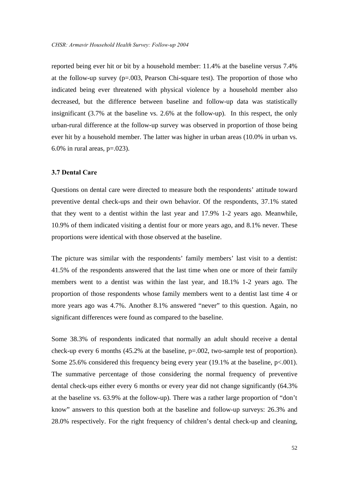reported being ever hit or bit by a household member: 11.4% at the baseline versus 7.4% at the follow-up survey (p=.003, Pearson Chi-square test). The proportion of those who indicated being ever threatened with physical violence by a household member also decreased, but the difference between baseline and follow-up data was statistically insignificant (3.7% at the baseline vs. 2.6% at the follow-up). In this respect, the only urban-rural difference at the follow-up survey was observed in proportion of those being ever hit by a household member. The latter was higher in urban areas (10.0% in urban vs. 6.0% in rural areas,  $p=.023$ ).

#### **3.7 Dental Care**

Questions on dental care were directed to measure both the respondents' attitude toward preventive dental check-ups and their own behavior. Of the respondents, 37.1% stated that they went to a dentist within the last year and 17.9% 1-2 years ago. Meanwhile, 10.9% of them indicated visiting a dentist four or more years ago, and 8.1% never. These proportions were identical with those observed at the baseline.

The picture was similar with the respondents' family members' last visit to a dentist: 41.5% of the respondents answered that the last time when one or more of their family members went to a dentist was within the last year, and 18.1% 1-2 years ago. The proportion of those respondents whose family members went to a dentist last time 4 or more years ago was 4.7%. Another 8.1% answered "never" to this question. Again, no significant differences were found as compared to the baseline.

Some 38.3% of respondents indicated that normally an adult should receive a dental check-up every 6 months  $(45.2\%$  at the baseline,  $p=.002$ , two-sample test of proportion). Some 25.6% considered this frequency being every year (19.1% at the baseline,  $p<.001$ ). The summative percentage of those considering the normal frequency of preventive dental check-ups either every 6 months or every year did not change significantly (64.3% at the baseline vs. 63.9% at the follow-up). There was a rather large proportion of "don't know" answers to this question both at the baseline and follow-up surveys: 26.3% and 28.0% respectively. For the right frequency of children's dental check-up and cleaning,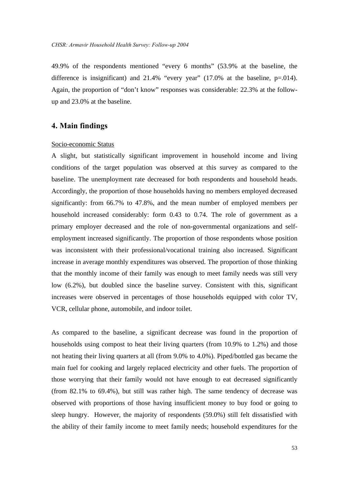49.9% of the respondents mentioned "every 6 months" (53.9% at the baseline, the difference is insignificant) and 21.4% "every year"  $(17.0\%$  at the baseline, p=.014). Again, the proportion of "don't know" responses was considerable: 22.3% at the followup and 23.0% at the baseline.

# **4. Main findings**

#### Socio-economic Status

A slight, but statistically significant improvement in household income and living conditions of the target population was observed at this survey as compared to the baseline. The unemployment rate decreased for both respondents and household heads. Accordingly, the proportion of those households having no members employed decreased significantly: from 66.7% to 47.8%, and the mean number of employed members per household increased considerably: form 0.43 to 0.74. The role of government as a primary employer decreased and the role of non-governmental organizations and selfemployment increased significantly. The proportion of those respondents whose position was inconsistent with their professional/vocational training also increased. Significant increase in average monthly expenditures was observed. The proportion of those thinking that the monthly income of their family was enough to meet family needs was still very low (6.2%), but doubled since the baseline survey. Consistent with this, significant increases were observed in percentages of those households equipped with color TV, VCR, cellular phone, automobile, and indoor toilet.

As compared to the baseline, a significant decrease was found in the proportion of households using compost to heat their living quarters (from 10.9% to 1.2%) and those not heating their living quarters at all (from 9.0% to 4.0%). Piped/bottled gas became the main fuel for cooking and largely replaced electricity and other fuels. The proportion of those worrying that their family would not have enough to eat decreased significantly (from 82.1% to 69.4%), but still was rather high. The same tendency of decrease was observed with proportions of those having insufficient money to buy food or going to sleep hungry. However, the majority of respondents (59.0%) still felt dissatisfied with the ability of their family income to meet family needs; household expenditures for the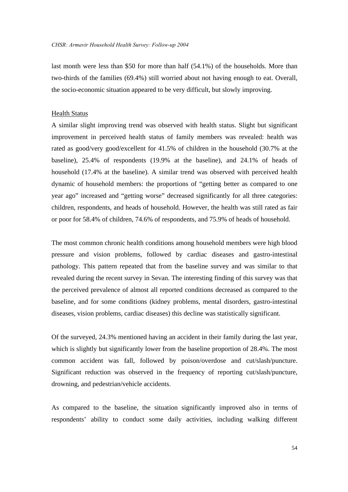last month were less than \$50 for more than half (54.1%) of the households. More than two-thirds of the families (69.4%) still worried about not having enough to eat. Overall, the socio-economic situation appeared to be very difficult, but slowly improving.

#### Health Status

A similar slight improving trend was observed with health status. Slight but significant improvement in perceived health status of family members was revealed: health was rated as good/very good/excellent for 41.5% of children in the household (30.7% at the baseline), 25.4% of respondents (19.9% at the baseline), and 24.1% of heads of household (17.4% at the baseline). A similar trend was observed with perceived health dynamic of household members: the proportions of "getting better as compared to one year ago" increased and "getting worse" decreased significantly for all three categories: children, respondents, and heads of household. However, the health was still rated as fair or poor for 58.4% of children, 74.6% of respondents, and 75.9% of heads of household.

The most common chronic health conditions among household members were high blood pressure and vision problems, followed by cardiac diseases and gastro-intestinal pathology. This pattern repeated that from the baseline survey and was similar to that revealed during the recent survey in Sevan. The interesting finding of this survey was that the perceived prevalence of almost all reported conditions decreased as compared to the baseline, and for some conditions (kidney problems, mental disorders, gastro-intestinal diseases, vision problems, cardiac diseases) this decline was statistically significant.

Of the surveyed, 24.3% mentioned having an accident in their family during the last year, which is slightly but significantly lower from the baseline proportion of 28.4%. The most common accident was fall, followed by poison/overdose and cut/slash/puncture. Significant reduction was observed in the frequency of reporting cut/slash/puncture, drowning, and pedestrian/vehicle accidents.

As compared to the baseline, the situation significantly improved also in terms of respondents' ability to conduct some daily activities, including walking different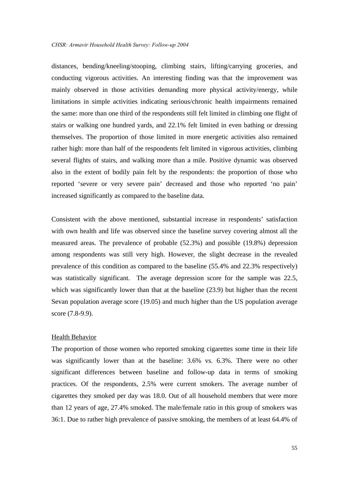distances, bending/kneeling/stooping, climbing stairs, lifting/carrying groceries, and conducting vigorous activities. An interesting finding was that the improvement was mainly observed in those activities demanding more physical activity/energy, while limitations in simple activities indicating serious/chronic health impairments remained the same: more than one third of the respondents still felt limited in climbing one flight of stairs or walking one hundred yards, and 22.1% felt limited in even bathing or dressing themselves. The proportion of those limited in more energetic activities also remained rather high: more than half of the respondents felt limited in vigorous activities, climbing several flights of stairs, and walking more than a mile. Positive dynamic was observed also in the extent of bodily pain felt by the respondents: the proportion of those who reported 'severe or very severe pain' decreased and those who reported 'no pain' increased significantly as compared to the baseline data.

Consistent with the above mentioned, substantial increase in respondents' satisfaction with own health and life was observed since the baseline survey covering almost all the measured areas. The prevalence of probable (52.3%) and possible (19.8%) depression among respondents was still very high. However, the slight decrease in the revealed prevalence of this condition as compared to the baseline (55.4% and 22.3% respectively) was statistically significant. The average depression score for the sample was 22.5, which was significantly lower than that at the baseline (23.9) but higher than the recent Sevan population average score (19.05) and much higher than the US population average score (7.8-9.9).

#### Health Behavior

The proportion of those women who reported smoking cigarettes some time in their life was significantly lower than at the baseline: 3.6% vs. 6.3%. There were no other significant differences between baseline and follow-up data in terms of smoking practices. Of the respondents, 2.5% were current smokers. The average number of cigarettes they smoked per day was 18.0. Out of all household members that were more than 12 years of age, 27.4% smoked. The male/female ratio in this group of smokers was 36:1. Due to rather high prevalence of passive smoking, the members of at least 64.4% of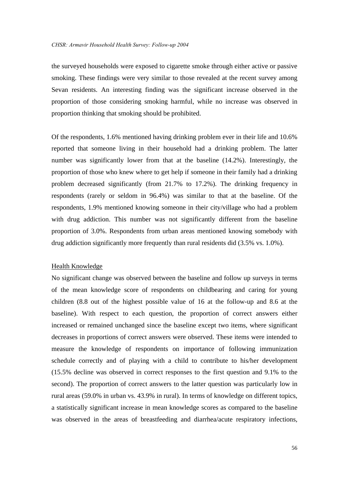the surveyed households were exposed to cigarette smoke through either active or passive smoking. These findings were very similar to those revealed at the recent survey among Sevan residents. An interesting finding was the significant increase observed in the proportion of those considering smoking harmful, while no increase was observed in proportion thinking that smoking should be prohibited.

Of the respondents, 1.6% mentioned having drinking problem ever in their life and 10.6% reported that someone living in their household had a drinking problem. The latter number was significantly lower from that at the baseline (14.2%). Interestingly, the proportion of those who knew where to get help if someone in their family had a drinking problem decreased significantly (from 21.7% to 17.2%). The drinking frequency in respondents (rarely or seldom in 96.4%) was similar to that at the baseline. Of the respondents, 1.9% mentioned knowing someone in their city/village who had a problem with drug addiction. This number was not significantly different from the baseline proportion of 3.0%. Respondents from urban areas mentioned knowing somebody with drug addiction significantly more frequently than rural residents did (3.5% vs. 1.0%).

#### Health Knowledge

No significant change was observed between the baseline and follow up surveys in terms of the mean knowledge score of respondents on childbearing and caring for young children (8.8 out of the highest possible value of 16 at the follow-up and 8.6 at the baseline). With respect to each question, the proportion of correct answers either increased or remained unchanged since the baseline except two items, where significant decreases in proportions of correct answers were observed. These items were intended to measure the knowledge of respondents on importance of following immunization schedule correctly and of playing with a child to contribute to his/her development (15.5% decline was observed in correct responses to the first question and 9.1% to the second). The proportion of correct answers to the latter question was particularly low in rural areas (59.0% in urban vs. 43.9% in rural). In terms of knowledge on different topics, a statistically significant increase in mean knowledge scores as compared to the baseline was observed in the areas of breastfeeding and diarrhea/acute respiratory infections,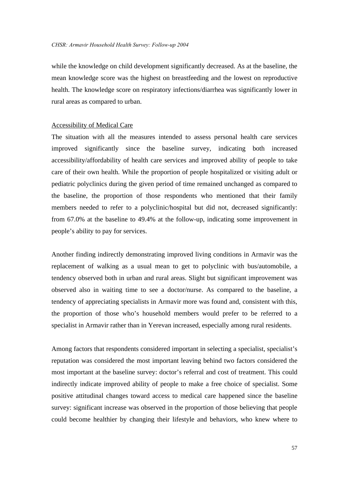while the knowledge on child development significantly decreased. As at the baseline, the mean knowledge score was the highest on breastfeeding and the lowest on reproductive health. The knowledge score on respiratory infections/diarrhea was significantly lower in rural areas as compared to urban.

#### Accessibility of Medical Care

The situation with all the measures intended to assess personal health care services improved significantly since the baseline survey, indicating both increased accessibility/affordability of health care services and improved ability of people to take care of their own health. While the proportion of people hospitalized or visiting adult or pediatric polyclinics during the given period of time remained unchanged as compared to the baseline, the proportion of those respondents who mentioned that their family members needed to refer to a polyclinic/hospital but did not, decreased significantly: from 67.0% at the baseline to 49.4% at the follow-up, indicating some improvement in people's ability to pay for services.

Another finding indirectly demonstrating improved living conditions in Armavir was the replacement of walking as a usual mean to get to polyclinic with bus/automobile, a tendency observed both in urban and rural areas. Slight but significant improvement was observed also in waiting time to see a doctor/nurse. As compared to the baseline, a tendency of appreciating specialists in Armavir more was found and, consistent with this, the proportion of those who's household members would prefer to be referred to a specialist in Armavir rather than in Yerevan increased, especially among rural residents.

Among factors that respondents considered important in selecting a specialist, specialist's reputation was considered the most important leaving behind two factors considered the most important at the baseline survey: doctor's referral and cost of treatment. This could indirectly indicate improved ability of people to make a free choice of specialist. Some positive attitudinal changes toward access to medical care happened since the baseline survey: significant increase was observed in the proportion of those believing that people could become healthier by changing their lifestyle and behaviors, who knew where to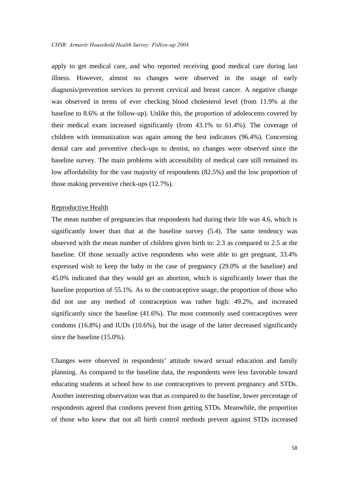apply to get medical care, and who reported receiving good medical care during last illness. However, almost no changes were observed in the usage of early diagnosis/prevention services to prevent cervical and breast cancer. A negative change was observed in terms of ever checking blood cholesterol level (from 11.9% at the baseline to 8.6% at the follow-up). Unlike this, the proportion of adolescents covered by their medical exam increased significantly (from 43.1% to 61.4%). The coverage of children with immunization was again among the best indicators (96.4%). Concerning dental care and preventive check-ups to dentist, no changes were observed since the baseline survey. The main problems with accessibility of medical care still remained its low affordability for the vast majority of respondents (82.5%) and the low proportion of those making preventive check-ups (12.7%).

#### Reproductive Health

The mean number of pregnancies that respondents had during their life was 4.6, which is significantly lower than that at the baseline survey (5.4). The same tendency was observed with the mean number of children given birth to: 2.3 as compared to 2.5 at the baseline. Of those sexually active respondents who were able to get pregnant, 33.4% expressed wish to keep the baby in the case of pregnancy (29.0% at the baseline) and 45.0% indicated that they would get an abortion, which is significantly lower than the baseline proportion of 55.1%. As to the contraceptive usage, the proportion of those who did not use any method of contraception was rather high: 49.2%, and increased significantly since the baseline (41.6%). The most commonly used contraceptives were condoms (16.8%) and IUDs (10.6%), but the usage of the latter decreased significantly since the baseline (15.0%).

Changes were observed in respondents' attitude toward sexual education and family planning. As compared to the baseline data, the respondents were less favorable toward educating students at school how to use contraceptives to prevent pregnancy and STDs. Another interesting observation was that as compared to the baseline, lower percentage of respondents agreed that condoms prevent from getting STDs. Meanwhile, the proportion of those who knew that not all birth control methods prevent against STDs increased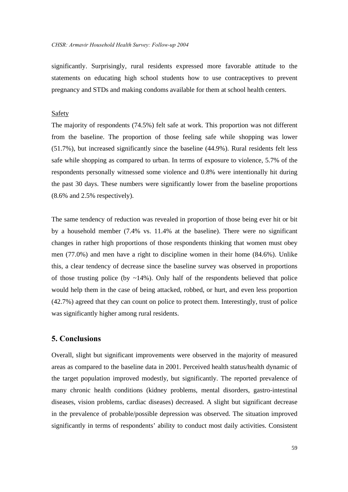significantly. Surprisingly, rural residents expressed more favorable attitude to the statements on educating high school students how to use contraceptives to prevent pregnancy and STDs and making condoms available for them at school health centers.

#### Safety

The majority of respondents (74.5%) felt safe at work. This proportion was not different from the baseline. The proportion of those feeling safe while shopping was lower (51.7%), but increased significantly since the baseline (44.9%). Rural residents felt less safe while shopping as compared to urban. In terms of exposure to violence, 5.7% of the respondents personally witnessed some violence and 0.8% were intentionally hit during the past 30 days. These numbers were significantly lower from the baseline proportions (8.6% and 2.5% respectively).

The same tendency of reduction was revealed in proportion of those being ever hit or bit by a household member (7.4% vs. 11.4% at the baseline). There were no significant changes in rather high proportions of those respondents thinking that women must obey men (77.0%) and men have a right to discipline women in their home (84.6%). Unlike this, a clear tendency of decrease since the baseline survey was observed in proportions of those trusting police (by  $\sim$ 14%). Only half of the respondents believed that police would help them in the case of being attacked, robbed, or hurt, and even less proportion (42.7%) agreed that they can count on police to protect them. Interestingly, trust of police was significantly higher among rural residents.

# **5. Conclusions**

Overall, slight but significant improvements were observed in the majority of measured areas as compared to the baseline data in 2001. Perceived health status/health dynamic of the target population improved modestly, but significantly. The reported prevalence of many chronic health conditions (kidney problems, mental disorders, gastro-intestinal diseases, vision problems, cardiac diseases) decreased. A slight but significant decrease in the prevalence of probable/possible depression was observed. The situation improved significantly in terms of respondents' ability to conduct most daily activities. Consistent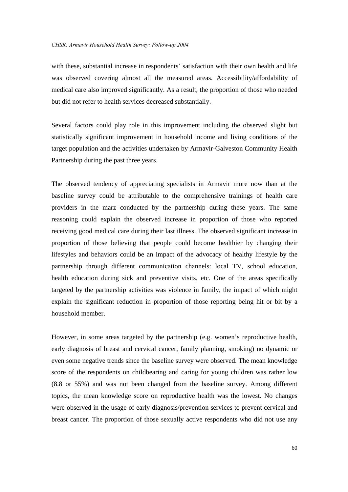with these, substantial increase in respondents' satisfaction with their own health and life was observed covering almost all the measured areas. Accessibility/affordability of medical care also improved significantly. As a result, the proportion of those who needed but did not refer to health services decreased substantially.

Several factors could play role in this improvement including the observed slight but statistically significant improvement in household income and living conditions of the target population and the activities undertaken by Armavir-Galveston Community Health Partnership during the past three years.

The observed tendency of appreciating specialists in Armavir more now than at the baseline survey could be attributable to the comprehensive trainings of health care providers in the marz conducted by the partnership during these years. The same reasoning could explain the observed increase in proportion of those who reported receiving good medical care during their last illness. The observed significant increase in proportion of those believing that people could become healthier by changing their lifestyles and behaviors could be an impact of the advocacy of healthy lifestyle by the partnership through different communication channels: local TV, school education, health education during sick and preventive visits, etc. One of the areas specifically targeted by the partnership activities was violence in family, the impact of which might explain the significant reduction in proportion of those reporting being hit or bit by a household member.

However, in some areas targeted by the partnership (e.g. women's reproductive health, early diagnosis of breast and cervical cancer, family planning, smoking) no dynamic or even some negative trends since the baseline survey were observed. The mean knowledge score of the respondents on childbearing and caring for young children was rather low (8.8 or 55%) and was not been changed from the baseline survey. Among different topics, the mean knowledge score on reproductive health was the lowest. No changes were observed in the usage of early diagnosis/prevention services to prevent cervical and breast cancer. The proportion of those sexually active respondents who did not use any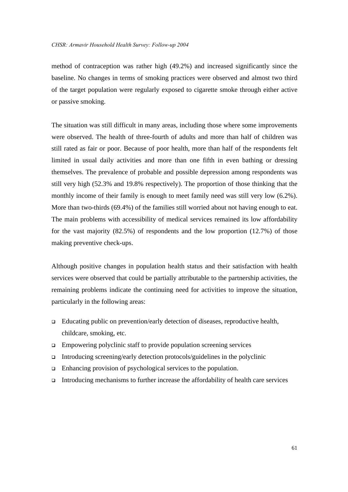method of contraception was rather high (49.2%) and increased significantly since the baseline. No changes in terms of smoking practices were observed and almost two third of the target population were regularly exposed to cigarette smoke through either active or passive smoking.

The situation was still difficult in many areas, including those where some improvements were observed. The health of three-fourth of adults and more than half of children was still rated as fair or poor. Because of poor health, more than half of the respondents felt limited in usual daily activities and more than one fifth in even bathing or dressing themselves. The prevalence of probable and possible depression among respondents was still very high (52.3% and 19.8% respectively). The proportion of those thinking that the monthly income of their family is enough to meet family need was still very low (6.2%). More than two-thirds (69.4%) of the families still worried about not having enough to eat. The main problems with accessibility of medical services remained its low affordability for the vast majority (82.5%) of respondents and the low proportion (12.7%) of those making preventive check-ups.

Although positive changes in population health status and their satisfaction with health services were observed that could be partially attributable to the partnership activities, the remaining problems indicate the continuing need for activities to improve the situation, particularly in the following areas:

- $\Box$  Educating public on prevention/early detection of diseases, reproductive health, childcare, smoking, etc.
- $\Box$  Empowering polyclinic staff to provide population screening services
- $\Box$  Introducing screening/early detection protocols/guidelines in the polyclinic
- $\Box$  Enhancing provision of psychological services to the population.
- $\Box$  Introducing mechanisms to further increase the affordability of health care services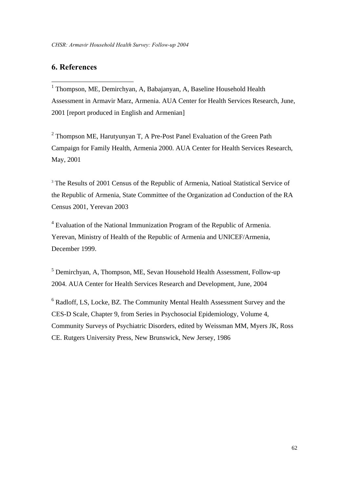# **6. References**

1

<sup>1</sup> Thompson, ME, Demirchyan, A, Babajanyan, A, Baseline Household Health Assessment in Armavir Marz, Armenia. AUA Center for Health Services Research, June, 2001 [report produced in English and Armenian]

<sup>2</sup> Thompson ME, Harutyunyan T, A Pre-Post Panel Evaluation of the Green Path Campaign for Family Health, Armenia 2000. AUA Center for Health Services Research, May, 2001

<sup>3</sup> The Results of 2001 Census of the Republic of Armenia, Natioal Statistical Service of the Republic of Armenia, State Committee of the Organization ad Conduction of the RA Census 2001, Yerevan 2003

<sup>4</sup> Evaluation of the National Immunization Program of the Republic of Armenia. Yerevan, Ministry of Health of the Republic of Armenia and UNICEF/Armenia, December 1999.

5 Demirchyan, A, Thompson, ME, Sevan Household Health Assessment, Follow-up 2004. AUA Center for Health Services Research and Development, June, 2004

<sup>6</sup> Radloff, LS, Locke, BZ. The Community Mental Health Assessment Survey and the CES-D Scale, Chapter 9, from Series in Psychosocial Epidemiology, Volume 4, Community Surveys of Psychiatric Disorders, edited by Weissman MM, Myers JK, Ross CE. Rutgers University Press, New Brunswick, New Jersey, 1986